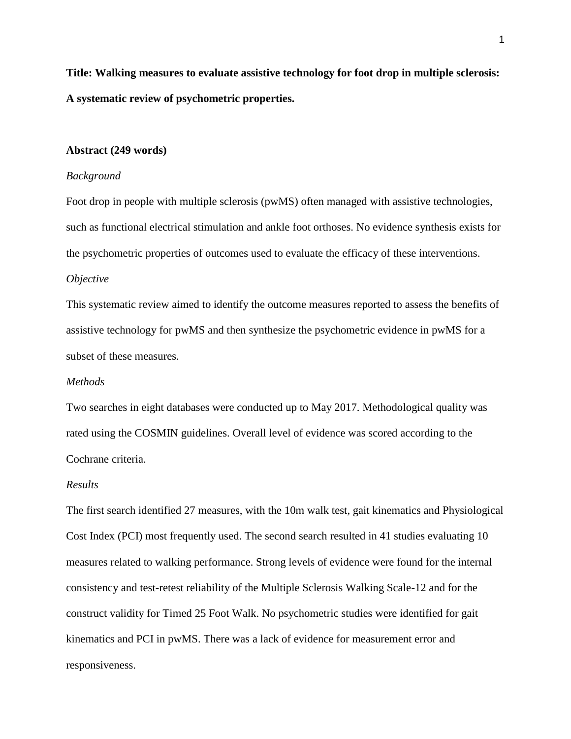**Title: Walking measures to evaluate assistive technology for foot drop in multiple sclerosis: A systematic review of psychometric properties.**

#### **Abstract (249 words)**

## *Background*

Foot drop in people with multiple sclerosis (pwMS) often managed with assistive technologies, such as functional electrical stimulation and ankle foot orthoses. No evidence synthesis exists for the psychometric properties of outcomes used to evaluate the efficacy of these interventions.

# *Objective*

This systematic review aimed to identify the outcome measures reported to assess the benefits of assistive technology for pwMS and then synthesize the psychometric evidence in pwMS for a subset of these measures.

### *Methods*

Two searches in eight databases were conducted up to May 2017. Methodological quality was rated using the COSMIN guidelines. Overall level of evidence was scored according to the Cochrane criteria.

#### *Results*

The first search identified 27 measures, with the 10m walk test, gait kinematics and Physiological Cost Index (PCI) most frequently used. The second search resulted in 41 studies evaluating 10 measures related to walking performance. Strong levels of evidence were found for the internal consistency and test-retest reliability of the Multiple Sclerosis Walking Scale-12 and for the construct validity for Timed 25 Foot Walk. No psychometric studies were identified for gait kinematics and PCI in pwMS. There was a lack of evidence for measurement error and responsiveness.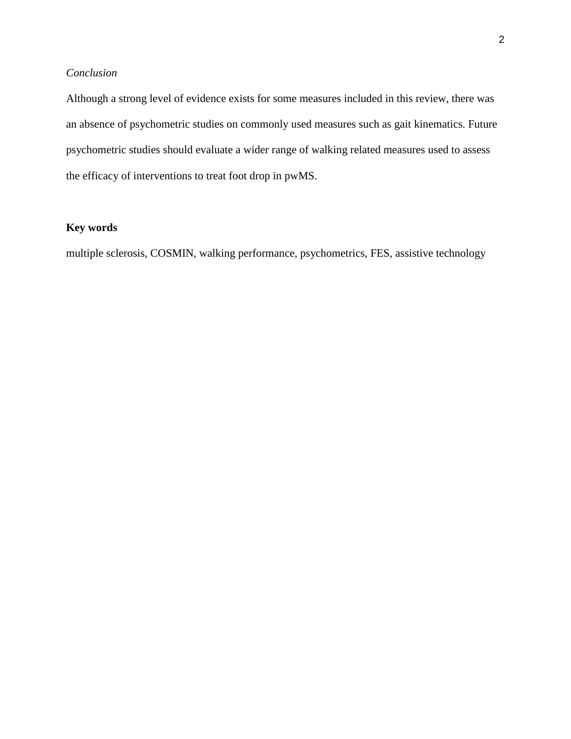# *Conclusion*

Although a strong level of evidence exists for some measures included in this review, there was an absence of psychometric studies on commonly used measures such as gait kinematics. Future psychometric studies should evaluate a wider range of walking related measures used to assess the efficacy of interventions to treat foot drop in pwMS.

# **Key words**

multiple sclerosis, COSMIN, walking performance, psychometrics, FES, assistive technology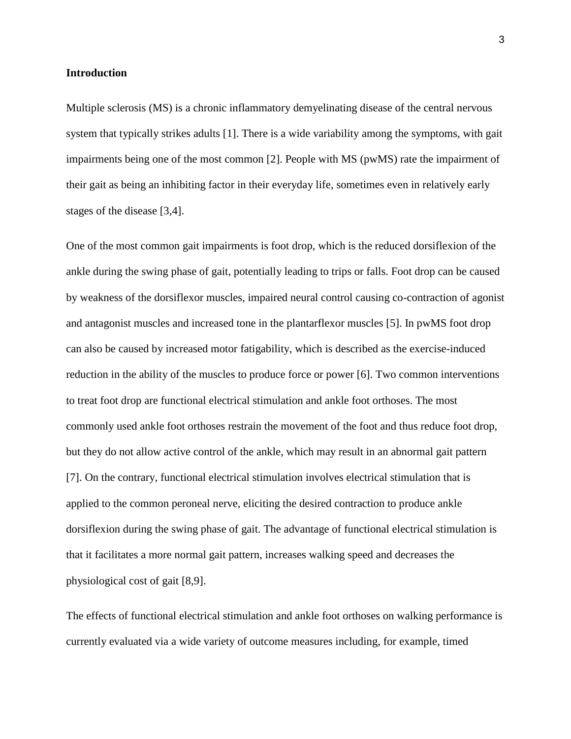#### **Introduction**

Multiple sclerosis (MS) is a chronic inflammatory demyelinating disease of the central nervous system that typically strikes adults [1]. There is a wide variability among the symptoms, with gait impairments being one of the most common [2]. People with MS (pwMS) rate the impairment of their gait as being an inhibiting factor in their everyday life, sometimes even in relatively early stages of the disease [3,4].

One of the most common gait impairments is foot drop, which is the reduced dorsiflexion of the ankle during the swing phase of gait, potentially leading to trips or falls. Foot drop can be caused by weakness of the dorsiflexor muscles, impaired neural control causing co-contraction of agonist and antagonist muscles and increased tone in the plantarflexor muscles [5]. In pwMS foot drop can also be caused by increased motor fatigability, which is described as the exercise-induced reduction in the ability of the muscles to produce force or power [6]. Two common interventions to treat foot drop are functional electrical stimulation and ankle foot orthoses. The most commonly used ankle foot orthoses restrain the movement of the foot and thus reduce foot drop, but they do not allow active control of the ankle, which may result in an abnormal gait pattern [7]. On the contrary, functional electrical stimulation involves electrical stimulation that is applied to the common peroneal nerve, eliciting the desired contraction to produce ankle dorsiflexion during the swing phase of gait. The advantage of functional electrical stimulation is that it facilitates a more normal gait pattern, increases walking speed and decreases the physiological cost of gait [8,9].

The effects of functional electrical stimulation and ankle foot orthoses on walking performance is currently evaluated via a wide variety of outcome measures including, for example, timed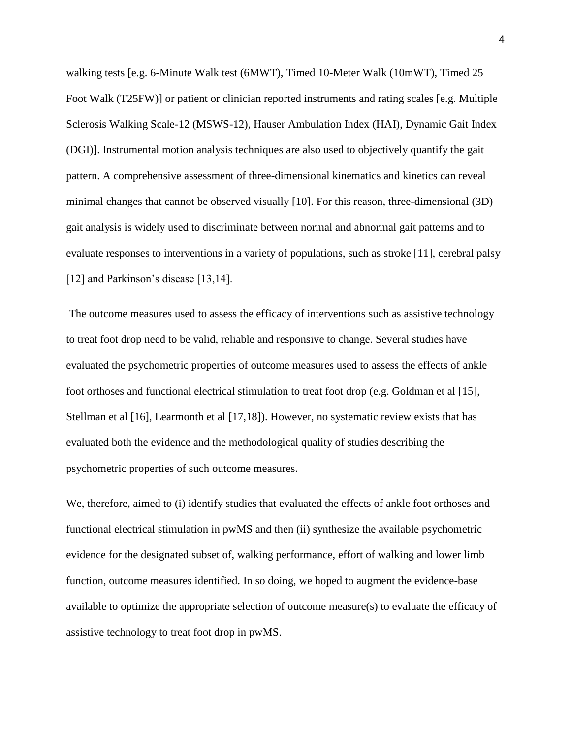walking tests [e.g. 6-Minute Walk test (6MWT), Timed 10-Meter Walk (10mWT), Timed 25 Foot Walk (T25FW)] or patient or clinician reported instruments and rating scales [e.g. Multiple Sclerosis Walking Scale-12 (MSWS-12), Hauser Ambulation Index (HAI), Dynamic Gait Index (DGI)]. Instrumental motion analysis techniques are also used to objectively quantify the gait pattern. A comprehensive assessment of three-dimensional kinematics and kinetics can reveal minimal changes that cannot be observed visually [10]. For this reason, three-dimensional (3D) gait analysis is widely used to discriminate between normal and abnormal gait patterns and to evaluate responses to interventions in a variety of populations, such as stroke [11], cerebral palsy [12] and Parkinson's disease [13,14].

The outcome measures used to assess the efficacy of interventions such as assistive technology to treat foot drop need to be valid, reliable and responsive to change. Several studies have evaluated the psychometric properties of outcome measures used to assess the effects of ankle foot orthoses and functional electrical stimulation to treat foot drop (e.g. Goldman et al [15], Stellman et al [16], Learmonth et al [17,18]). However, no systematic review exists that has evaluated both the evidence and the methodological quality of studies describing the psychometric properties of such outcome measures.

We, therefore, aimed to (i) identify studies that evaluated the effects of ankle foot orthoses and functional electrical stimulation in pwMS and then (ii) synthesize the available psychometric evidence for the designated subset of, walking performance, effort of walking and lower limb function, outcome measures identified. In so doing, we hoped to augment the evidence-base available to optimize the appropriate selection of outcome measure(s) to evaluate the efficacy of assistive technology to treat foot drop in pwMS.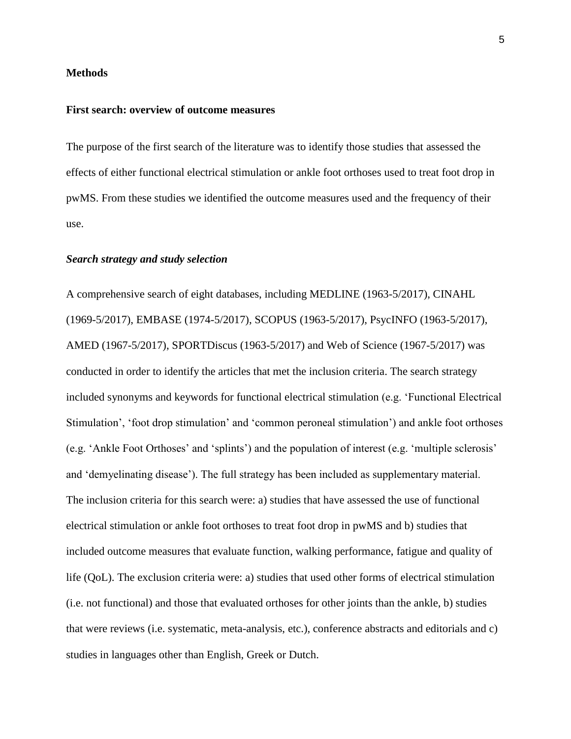#### **Methods**

# **First search: overview of outcome measures**

The purpose of the first search of the literature was to identify those studies that assessed the effects of either functional electrical stimulation or ankle foot orthoses used to treat foot drop in pwMS. From these studies we identified the outcome measures used and the frequency of their use.

#### *Search strategy and study selection*

A comprehensive search of eight databases, including MEDLINE (1963-5/2017), CINAHL (1969-5/2017), EMBASE (1974-5/2017), SCOPUS (1963-5/2017), PsycINFO (1963-5/2017), AMED (1967-5/2017), SPORTDiscus (1963-5/2017) and Web of Science (1967-5/2017) was conducted in order to identify the articles that met the inclusion criteria. The search strategy included synonyms and keywords for functional electrical stimulation (e.g. 'Functional Electrical Stimulation', 'foot drop stimulation' and 'common peroneal stimulation') and ankle foot orthoses (e.g. 'Ankle Foot Orthoses' and 'splints') and the population of interest (e.g. 'multiple sclerosis' and 'demyelinating disease'). The full strategy has been included as supplementary material. The inclusion criteria for this search were: a) studies that have assessed the use of functional electrical stimulation or ankle foot orthoses to treat foot drop in pwMS and b) studies that included outcome measures that evaluate function, walking performance, fatigue and quality of life (QoL). The exclusion criteria were: a) studies that used other forms of electrical stimulation (i.e. not functional) and those that evaluated orthoses for other joints than the ankle, b) studies that were reviews (i.e. systematic, meta-analysis, etc.), conference abstracts and editorials and c) studies in languages other than English, Greek or Dutch.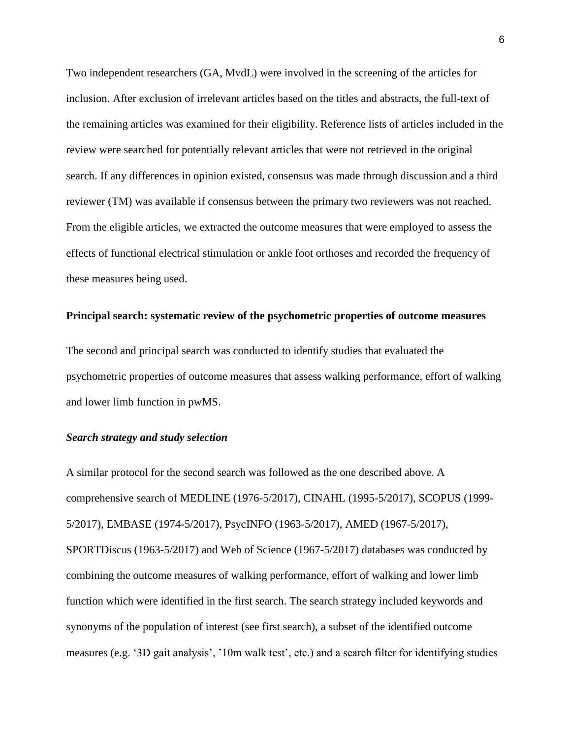Two independent researchers (GA, MvdL) were involved in the screening of the articles for inclusion. After exclusion of irrelevant articles based on the titles and abstracts, the full-text of the remaining articles was examined for their eligibility. Reference lists of articles included in the review were searched for potentially relevant articles that were not retrieved in the original search. If any differences in opinion existed, consensus was made through discussion and a third reviewer (TM) was available if consensus between the primary two reviewers was not reached. From the eligible articles, we extracted the outcome measures that were employed to assess the effects of functional electrical stimulation or ankle foot orthoses and recorded the frequency of these measures being used.

#### **Principal search: systematic review of the psychometric properties of outcome measures**

The second and principal search was conducted to identify studies that evaluated the psychometric properties of outcome measures that assess walking performance, effort of walking and lower limb function in pwMS.

# *Search strategy and study selection*

A similar protocol for the second search was followed as the one described above. A comprehensive search of MEDLINE (1976-5/2017), CINAHL (1995-5/2017), SCOPUS (1999- 5/2017), EMBASE (1974-5/2017), PsycINFO (1963-5/2017), AMED (1967-5/2017), SPORTDiscus (1963-5/2017) and Web of Science (1967-5/2017) databases was conducted by combining the outcome measures of walking performance, effort of walking and lower limb function which were identified in the first search. The search strategy included keywords and synonyms of the population of interest (see first search), a subset of the identified outcome measures (e.g. '3D gait analysis', '10m walk test', etc.) and a search filter for identifying studies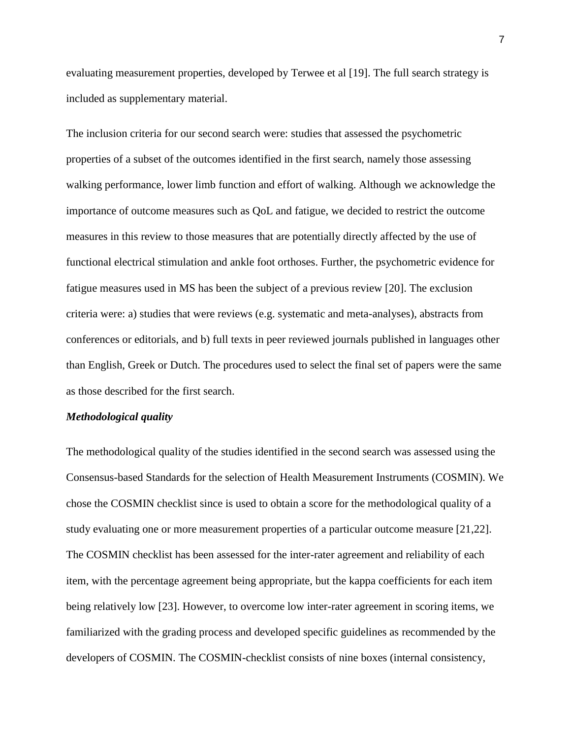evaluating measurement properties, developed by Terwee et al [19]. The full search strategy is included as supplementary material.

The inclusion criteria for our second search were: studies that assessed the psychometric properties of a subset of the outcomes identified in the first search, namely those assessing walking performance, lower limb function and effort of walking. Although we acknowledge the importance of outcome measures such as QoL and fatigue, we decided to restrict the outcome measures in this review to those measures that are potentially directly affected by the use of functional electrical stimulation and ankle foot orthoses. Further, the psychometric evidence for fatigue measures used in MS has been the subject of a previous review [20]. The exclusion criteria were: a) studies that were reviews (e.g. systematic and meta-analyses), abstracts from conferences or editorials, and b) full texts in peer reviewed journals published in languages other than English, Greek or Dutch. The procedures used to select the final set of papers were the same as those described for the first search.

### *Methodological quality*

The methodological quality of the studies identified in the second search was assessed using the Consensus-based Standards for the selection of Health Measurement Instruments (COSMIN). We chose the COSMIN checklist since is used to obtain a score for the methodological quality of a study evaluating one or more measurement properties of a particular outcome measure [21,22]. The COSMIN checklist has been assessed for the inter-rater agreement and reliability of each item, with the percentage agreement being appropriate, but the kappa coefficients for each item being relatively low [23]. However, to overcome low inter-rater agreement in scoring items, we familiarized with the grading process and developed specific guidelines as recommended by the developers of COSMIN. The COSMIN-checklist consists of nine boxes (internal consistency,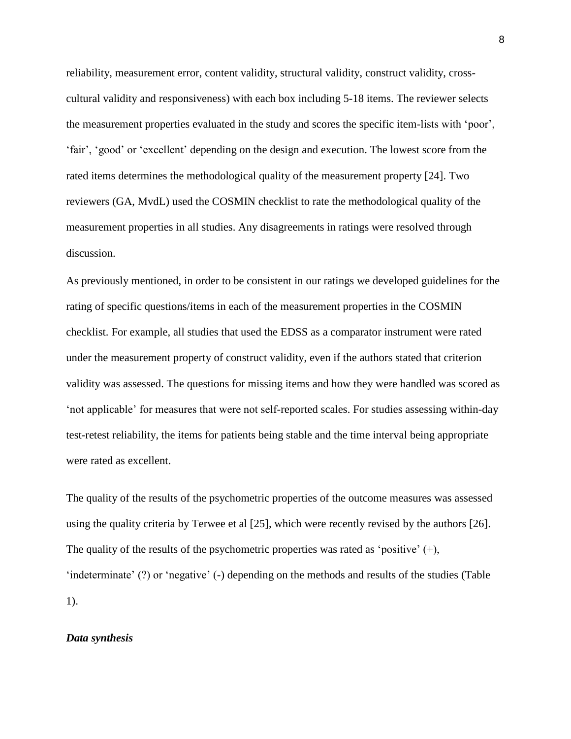reliability, measurement error, content validity, structural validity, construct validity, crosscultural validity and responsiveness) with each box including 5-18 items. The reviewer selects the measurement properties evaluated in the study and scores the specific item-lists with 'poor', 'fair', 'good' or 'excellent' depending on the design and execution. The lowest score from the rated items determines the methodological quality of the measurement property [24]. Two reviewers (GA, MvdL) used the COSMIN checklist to rate the methodological quality of the measurement properties in all studies. Any disagreements in ratings were resolved through discussion.

As previously mentioned, in order to be consistent in our ratings we developed guidelines for the rating of specific questions/items in each of the measurement properties in the COSMIN checklist. For example, all studies that used the EDSS as a comparator instrument were rated under the measurement property of construct validity, even if the authors stated that criterion validity was assessed. The questions for missing items and how they were handled was scored as 'not applicable' for measures that were not self-reported scales. For studies assessing within-day test-retest reliability, the items for patients being stable and the time interval being appropriate were rated as excellent.

The quality of the results of the psychometric properties of the outcome measures was assessed using the quality criteria by Terwee et al [25], which were recently revised by the authors [26]. The quality of the results of the psychometric properties was rated as 'positive' (+), 'indeterminate' (?) or 'negative' (-) depending on the methods and results of the studies (Table 1).

# *Data synthesis*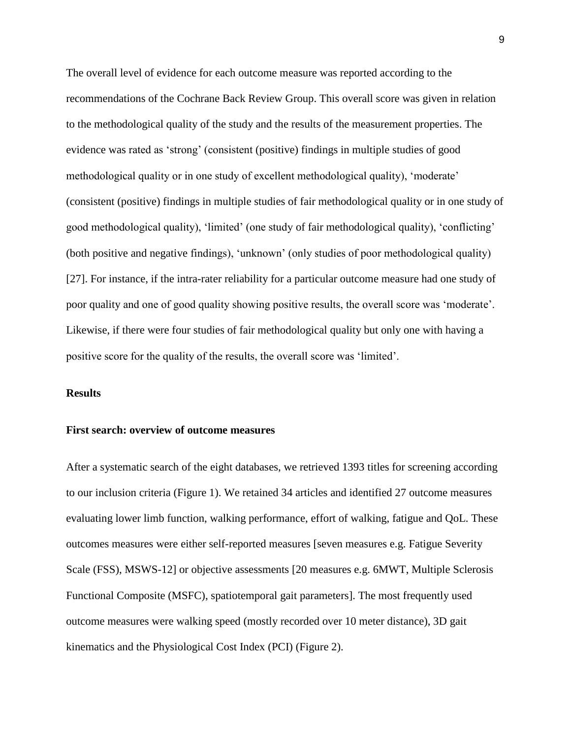The overall level of evidence for each outcome measure was reported according to the recommendations of the Cochrane Back Review Group. This overall score was given in relation to the methodological quality of the study and the results of the measurement properties. The evidence was rated as 'strong' (consistent (positive) findings in multiple studies of good methodological quality or in one study of excellent methodological quality), 'moderate' (consistent (positive) findings in multiple studies of fair methodological quality or in one study of good methodological quality), 'limited' (one study of fair methodological quality), 'conflicting' (both positive and negative findings), 'unknown' (only studies of poor methodological quality) [27]. For instance, if the intra-rater reliability for a particular outcome measure had one study of poor quality and one of good quality showing positive results, the overall score was 'moderate'. Likewise, if there were four studies of fair methodological quality but only one with having a positive score for the quality of the results, the overall score was 'limited'.

# **Results**

#### **First search: overview of outcome measures**

After a systematic search of the eight databases, we retrieved 1393 titles for screening according to our inclusion criteria (Figure 1). We retained 34 articles and identified 27 outcome measures evaluating lower limb function, walking performance, effort of walking, fatigue and QoL. These outcomes measures were either self-reported measures [seven measures e.g. Fatigue Severity Scale (FSS), MSWS-12] or objective assessments [20 measures e.g. 6MWT, Multiple Sclerosis Functional Composite (MSFC), spatiotemporal gait parameters]. The most frequently used outcome measures were walking speed (mostly recorded over 10 meter distance), 3D gait kinematics and the Physiological Cost Index (PCI) (Figure 2).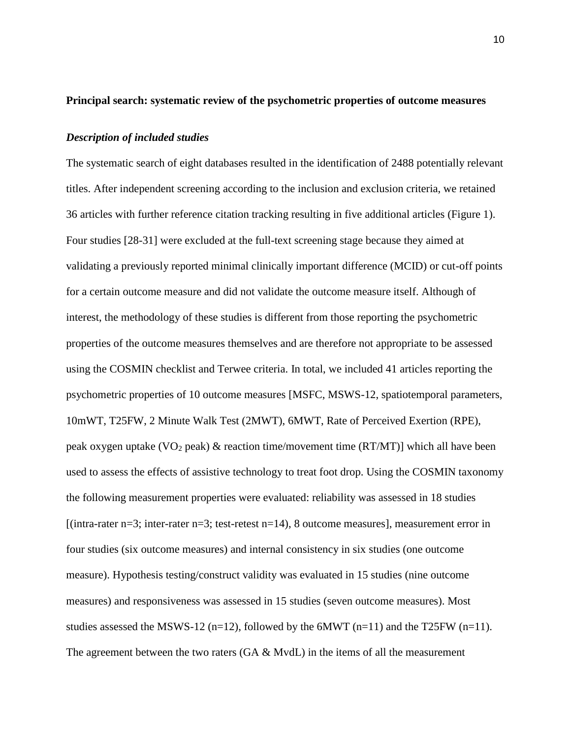#### **Principal search: systematic review of the psychometric properties of outcome measures**

#### *Description of included studies*

The systematic search of eight databases resulted in the identification of 2488 potentially relevant titles. After independent screening according to the inclusion and exclusion criteria, we retained 36 articles with further reference citation tracking resulting in five additional articles (Figure 1). Four studies [28-31] were excluded at the full-text screening stage because they aimed at validating a previously reported minimal clinically important difference (MCID) or cut-off points for a certain outcome measure and did not validate the outcome measure itself. Although of interest, the methodology of these studies is different from those reporting the psychometric properties of the outcome measures themselves and are therefore not appropriate to be assessed using the COSMIN checklist and Terwee criteria. In total, we included 41 articles reporting the psychometric properties of 10 outcome measures [MSFC, MSWS-12, spatiotemporal parameters, 10mWT, T25FW, 2 Minute Walk Test (2MWT), 6MWT, Rate of Perceived Exertion (RPE), peak oxygen uptake (VO<sub>2</sub> peak) & reaction time/movement time (RT/MT)] which all have been used to assess the effects of assistive technology to treat foot drop. Using the COSMIN taxonomy the following measurement properties were evaluated: reliability was assessed in 18 studies  $[(intra-rateer n=3; inter-rateer n=3; test-retest n=14), 8 outcome measures]$ , measurement error in four studies (six outcome measures) and internal consistency in six studies (one outcome measure). Hypothesis testing/construct validity was evaluated in 15 studies (nine outcome measures) and responsiveness was assessed in 15 studies (seven outcome measures). Most studies assessed the MSWS-12 (n=12), followed by the 6MWT (n=11) and the T25FW (n=11). The agreement between the two raters  $(GA \& Mvd)$  in the items of all the measurement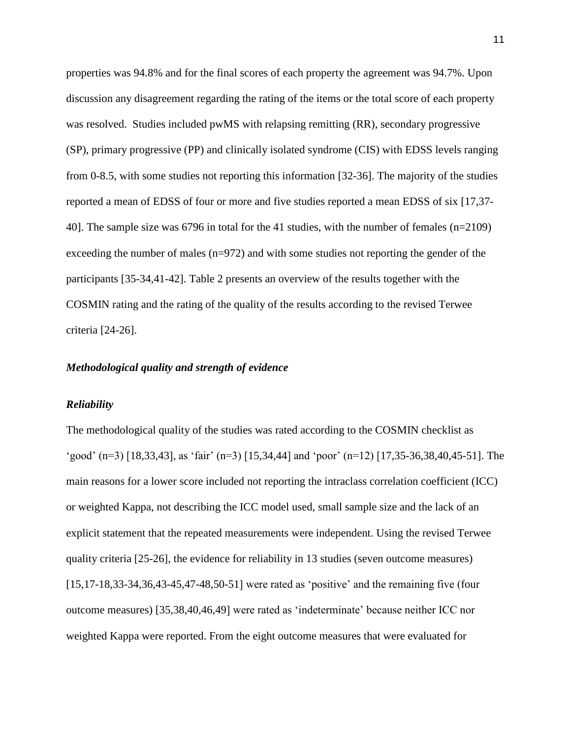properties was 94.8% and for the final scores of each property the agreement was 94.7%. Upon discussion any disagreement regarding the rating of the items or the total score of each property was resolved. Studies included pwMS with relapsing remitting (RR), secondary progressive (SP), primary progressive (PP) and clinically isolated syndrome (CIS) with EDSS levels ranging from 0-8.5, with some studies not reporting this information [32-36]. The majority of the studies reported a mean of EDSS of four or more and five studies reported a mean EDSS of six [17,37- 40]. The sample size was 6796 in total for the 41 studies, with the number of females (n=2109) exceeding the number of males (n=972) and with some studies not reporting the gender of the participants [35-34,41-42]. Table 2 presents an overview of the results together with the COSMIN rating and the rating of the quality of the results according to the revised Terwee criteria [24-26].

### *Methodological quality and strength of evidence*

#### *Reliability*

The methodological quality of the studies was rated according to the COSMIN checklist as 'good' (n=3) [18,33,43], as 'fair' (n=3) [15,34,44] and 'poor' (n=12) [17,35-36,38,40,45-51]. The main reasons for a lower score included not reporting the intraclass correlation coefficient (ICC) or weighted Kappa, not describing the ICC model used, small sample size and the lack of an explicit statement that the repeated measurements were independent. Using the revised Terwee quality criteria [25-26], the evidence for reliability in 13 studies (seven outcome measures) [15,17-18,33-34,36,43-45,47-48,50-51] were rated as 'positive' and the remaining five (four outcome measures) [35,38,40,46,49] were rated as 'indeterminate' because neither ICC nor weighted Kappa were reported. From the eight outcome measures that were evaluated for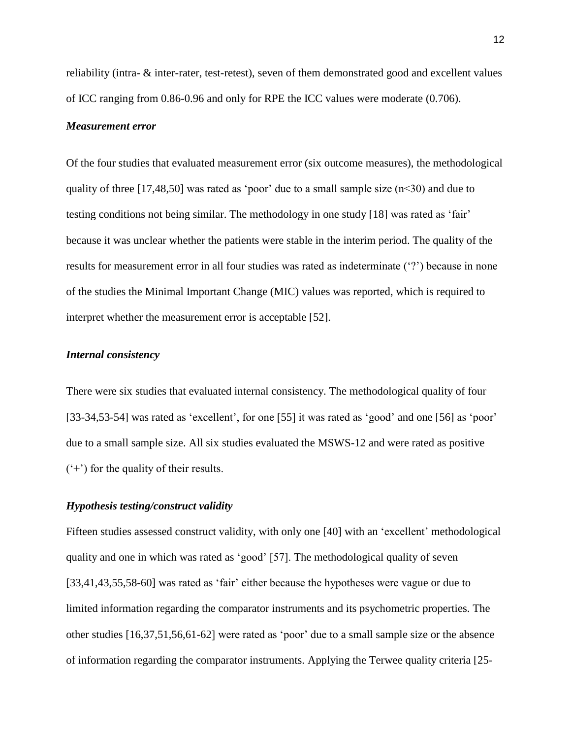reliability (intra- & inter-rater, test-retest), seven of them demonstrated good and excellent values of ICC ranging from 0.86-0.96 and only for RPE the ICC values were moderate (0.706).

#### *Measurement error*

Of the four studies that evaluated measurement error (six outcome measures), the methodological quality of three [17,48,50] was rated as 'poor' due to a small sample size  $(n<30)$  and due to testing conditions not being similar. The methodology in one study [18] was rated as 'fair' because it was unclear whether the patients were stable in the interim period. The quality of the results for measurement error in all four studies was rated as indeterminate ('?') because in none of the studies the Minimal Important Change (MIC) values was reported, which is required to interpret whether the measurement error is acceptable [52].

## *Internal consistency*

There were six studies that evaluated internal consistency. The methodological quality of four [33-34,53-54] was rated as 'excellent', for one [55] it was rated as 'good' and one [56] as 'poor' due to a small sample size. All six studies evaluated the MSWS-12 and were rated as positive  $(4)$  for the quality of their results.

### *Hypothesis testing/construct validity*

Fifteen studies assessed construct validity, with only one [40] with an 'excellent' methodological quality and one in which was rated as 'good' [57]. The methodological quality of seven [33,41,43,55,58-60] was rated as 'fair' either because the hypotheses were vague or due to limited information regarding the comparator instruments and its psychometric properties. The other studies [16,37,51,56,61-62] were rated as 'poor' due to a small sample size or the absence of information regarding the comparator instruments. Applying the Terwee quality criteria [25-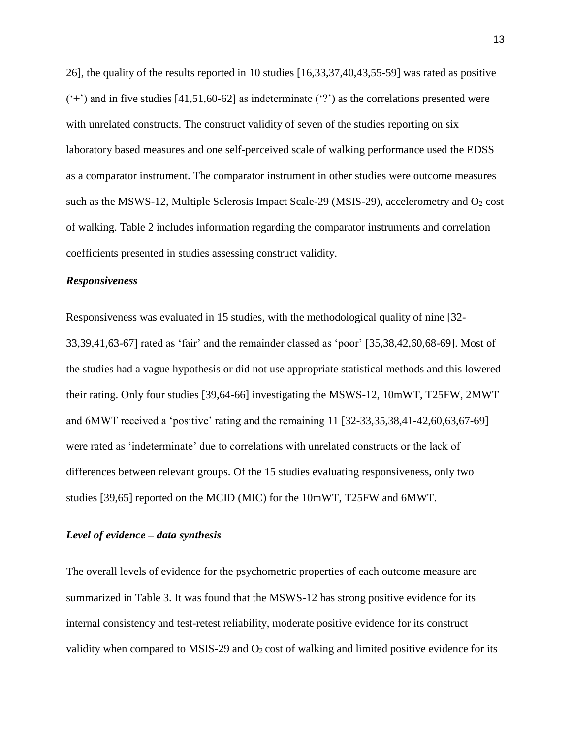26], the quality of the results reported in 10 studies [16,33,37,40,43,55-59] was rated as positive  $(+)$  and in five studies [41,51,60-62] as indeterminate  $(')$  as the correlations presented were with unrelated constructs. The construct validity of seven of the studies reporting on six laboratory based measures and one self-perceived scale of walking performance used the EDSS as a comparator instrument. The comparator instrument in other studies were outcome measures such as the MSWS-12, Multiple Sclerosis Impact Scale-29 (MSIS-29), accelerometry and  $O_2$  cost of walking. Table 2 includes information regarding the comparator instruments and correlation coefficients presented in studies assessing construct validity.

# *Responsiveness*

Responsiveness was evaluated in 15 studies, with the methodological quality of nine [32- 33,39,41,63-67] rated as 'fair' and the remainder classed as 'poor' [35,38,42,60,68-69]. Most of the studies had a vague hypothesis or did not use appropriate statistical methods and this lowered their rating. Only four studies [39,64-66] investigating the MSWS-12, 10mWT, T25FW, 2MWT and 6MWT received a 'positive' rating and the remaining 11 [32-33,35,38,41-42,60,63,67-69] were rated as 'indeterminate' due to correlations with unrelated constructs or the lack of differences between relevant groups. Of the 15 studies evaluating responsiveness, only two studies [39,65] reported on the MCID (MIC) for the 10mWT, T25FW and 6MWT.

#### *Level of evidence – data synthesis*

The overall levels of evidence for the psychometric properties of each outcome measure are summarized in Table 3. It was found that the MSWS-12 has strong positive evidence for its internal consistency and test-retest reliability, moderate positive evidence for its construct validity when compared to MSIS-29 and  $O_2$  cost of walking and limited positive evidence for its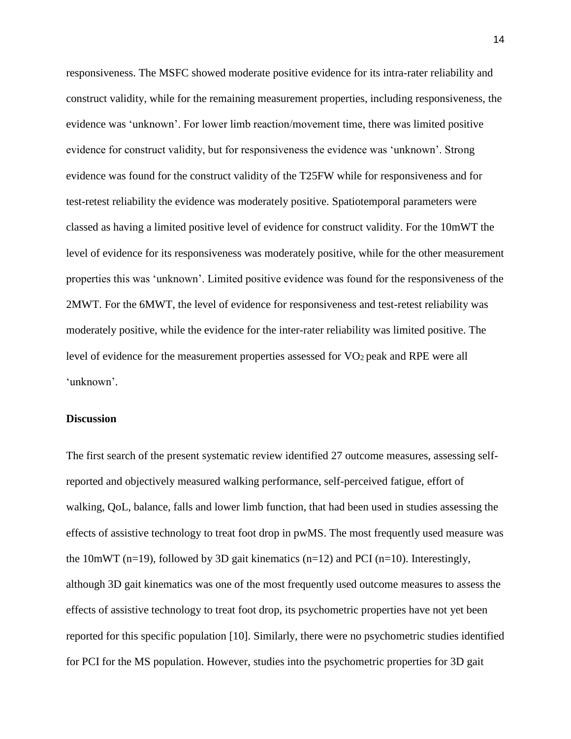responsiveness. The MSFC showed moderate positive evidence for its intra-rater reliability and construct validity, while for the remaining measurement properties, including responsiveness, the evidence was 'unknown'. For lower limb reaction/movement time, there was limited positive evidence for construct validity, but for responsiveness the evidence was 'unknown'. Strong evidence was found for the construct validity of the T25FW while for responsiveness and for test-retest reliability the evidence was moderately positive. Spatiotemporal parameters were classed as having a limited positive level of evidence for construct validity. For the 10mWT the level of evidence for its responsiveness was moderately positive, while for the other measurement properties this was 'unknown'. Limited positive evidence was found for the responsiveness of the 2MWT. For the 6MWT, the level of evidence for responsiveness and test-retest reliability was moderately positive, while the evidence for the inter-rater reliability was limited positive. The level of evidence for the measurement properties assessed for VO2 peak and RPE were all 'unknown'.

#### **Discussion**

The first search of the present systematic review identified 27 outcome measures, assessing selfreported and objectively measured walking performance, self-perceived fatigue, effort of walking, QoL, balance, falls and lower limb function, that had been used in studies assessing the effects of assistive technology to treat foot drop in pwMS. The most frequently used measure was the 10mWT (n=19), followed by 3D gait kinematics (n=12) and PCI (n=10). Interestingly, although 3D gait kinematics was one of the most frequently used outcome measures to assess the effects of assistive technology to treat foot drop, its psychometric properties have not yet been reported for this specific population [10]. Similarly, there were no psychometric studies identified for PCI for the MS population. However, studies into the psychometric properties for 3D gait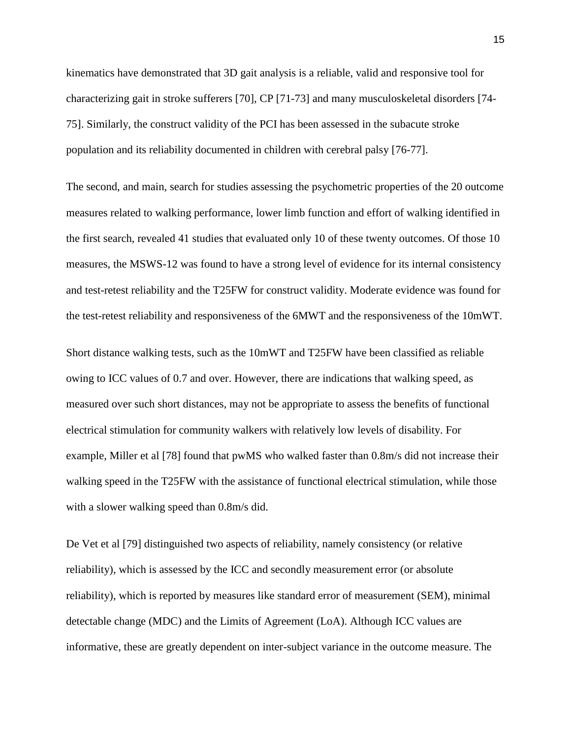kinematics have demonstrated that 3D gait analysis is a reliable, valid and responsive tool for characterizing gait in stroke sufferers [70], CP [71-73] and many musculoskeletal disorders [74- 75]. Similarly, the construct validity of the PCI has been assessed in the subacute stroke population and its reliability documented in children with cerebral palsy [76-77].

The second, and main, search for studies assessing the psychometric properties of the 20 outcome measures related to walking performance, lower limb function and effort of walking identified in the first search, revealed 41 studies that evaluated only 10 of these twenty outcomes. Of those 10 measures, the MSWS-12 was found to have a strong level of evidence for its internal consistency and test-retest reliability and the T25FW for construct validity. Moderate evidence was found for the test-retest reliability and responsiveness of the 6MWT and the responsiveness of the 10mWT.

Short distance walking tests, such as the 10mWT and T25FW have been classified as reliable owing to ICC values of 0.7 and over. However, there are indications that walking speed, as measured over such short distances, may not be appropriate to assess the benefits of functional electrical stimulation for community walkers with relatively low levels of disability. For example, Miller et al [78] found that pwMS who walked faster than 0.8m/s did not increase their walking speed in the T25FW with the assistance of functional electrical stimulation, while those with a slower walking speed than 0.8m/s did.

De Vet et al [79] distinguished two aspects of reliability, namely consistency (or relative reliability), which is assessed by the ICC and secondly measurement error (or absolute reliability), which is reported by measures like standard error of measurement (SEM), minimal detectable change (MDC) and the Limits of Agreement (LoA). Although ICC values are informative, these are greatly dependent on inter-subject variance in the outcome measure. The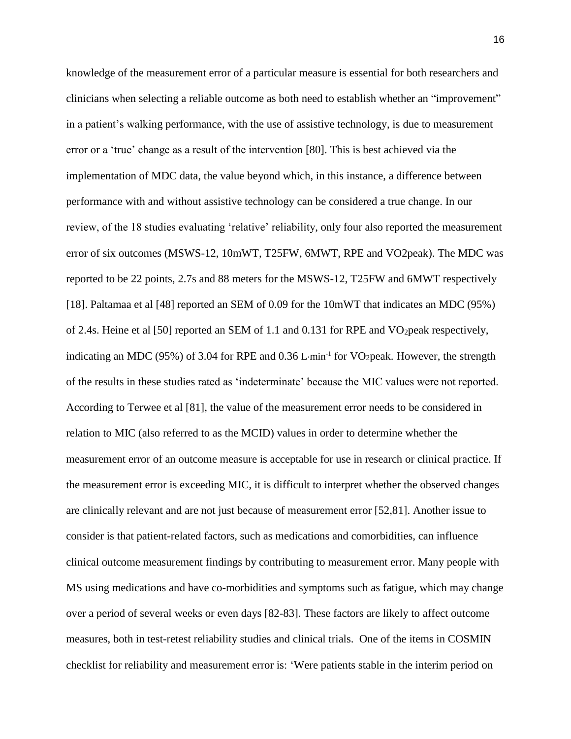knowledge of the measurement error of a particular measure is essential for both researchers and clinicians when selecting a reliable outcome as both need to establish whether an "improvement" in a patient's walking performance, with the use of assistive technology, is due to measurement error or a 'true' change as a result of the intervention [80]. This is best achieved via the implementation of MDC data, the value beyond which, in this instance, a difference between performance with and without assistive technology can be considered a true change. In our review, of the 18 studies evaluating 'relative' reliability, only four also reported the measurement error of six outcomes (MSWS-12, 10mWT, T25FW, 6MWT, RPE and VO2peak). The MDC was reported to be 22 points, 2.7s and 88 meters for the MSWS-12, T25FW and 6MWT respectively [18]. Paltamaa et al [48] reported an SEM of 0.09 for the 10mWT that indicates an MDC (95%) of 2.4s. Heine et al [50] reported an SEM of 1.1 and 0.131 for RPE and VO<sub>2</sub> peak respectively, indicating an MDC (95%) of 3.04 for RPE and  $0.36$  L·min<sup>-1</sup> for VO<sub>2</sub>peak. However, the strength of the results in these studies rated as 'indeterminate' because the MIC values were not reported. According to Terwee et al [81], the value of the measurement error needs to be considered in relation to MIC (also referred to as the MCID) values in order to determine whether the measurement error of an outcome measure is acceptable for use in research or clinical practice. If the measurement error is exceeding MIC, it is difficult to interpret whether the observed changes are clinically relevant and are not just because of measurement error [52,81]. Another issue to consider is that patient-related factors, such as medications and comorbidities, can influence clinical outcome measurement findings by contributing to measurement error. Many people with MS using medications and have co-morbidities and symptoms such as fatigue, which may change over a period of several weeks or even days [82-83]. These factors are likely to affect outcome measures, both in test-retest reliability studies and clinical trials. One of the items in COSMIN checklist for reliability and measurement error is: 'Were patients stable in the interim period on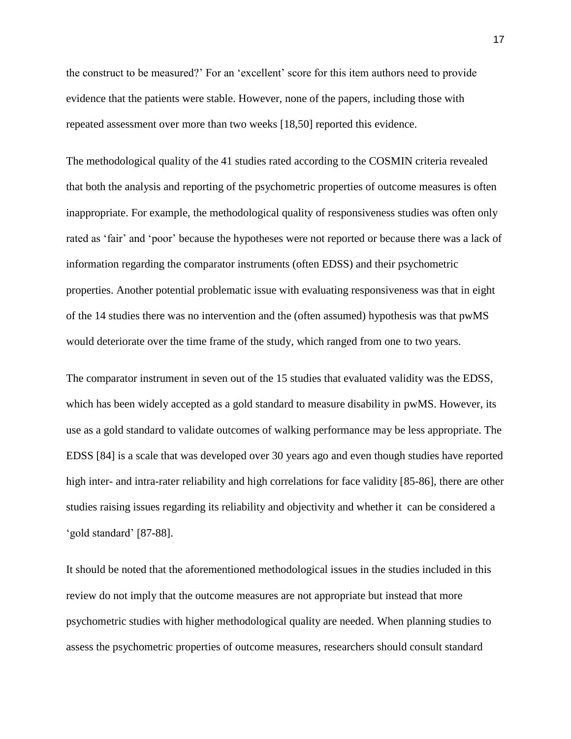the construct to be measured?' For an 'excellent' score for this item authors need to provide evidence that the patients were stable. However, none of the papers, including those with repeated assessment over more than two weeks [18,50] reported this evidence.

The methodological quality of the 41 studies rated according to the COSMIN criteria revealed that both the analysis and reporting of the psychometric properties of outcome measures is often inappropriate. For example, the methodological quality of responsiveness studies was often only rated as 'fair' and 'poor' because the hypotheses were not reported or because there was a lack of information regarding the comparator instruments (often EDSS) and their psychometric properties. Another potential problematic issue with evaluating responsiveness was that in eight of the 14 studies there was no intervention and the (often assumed) hypothesis was that pwMS would deteriorate over the time frame of the study, which ranged from one to two years.

The comparator instrument in seven out of the 15 studies that evaluated validity was the EDSS, which has been widely accepted as a gold standard to measure disability in pwMS. However, its use as a gold standard to validate outcomes of walking performance may be less appropriate. The EDSS [84] is a scale that was developed over 30 years ago and even though studies have reported high inter- and intra-rater reliability and high correlations for face validity [85-86], there are other studies raising issues regarding its reliability and objectivity and whether it can be considered a 'gold standard' [87-88].

It should be noted that the aforementioned methodological issues in the studies included in this review do not imply that the outcome measures are not appropriate but instead that more psychometric studies with higher methodological quality are needed. When planning studies to assess the psychometric properties of outcome measures, researchers should consult standard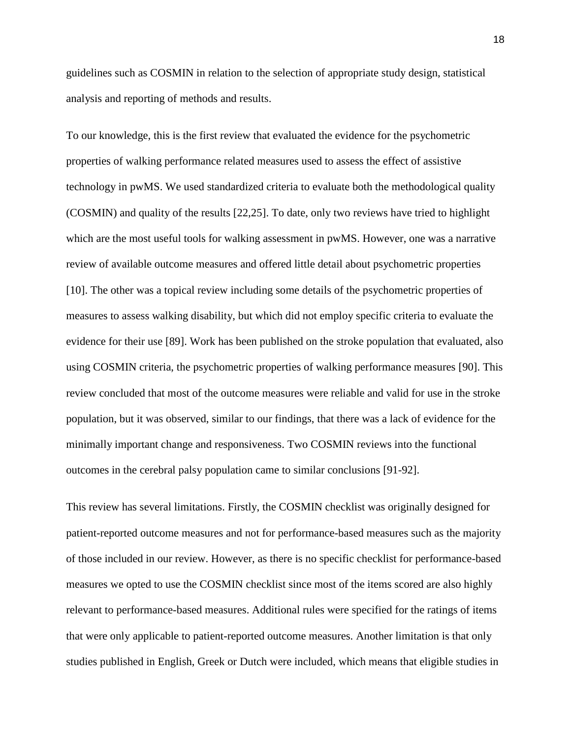guidelines such as COSMIN in relation to the selection of appropriate study design, statistical analysis and reporting of methods and results.

To our knowledge, this is the first review that evaluated the evidence for the psychometric properties of walking performance related measures used to assess the effect of assistive technology in pwMS. We used standardized criteria to evaluate both the methodological quality (COSMIN) and quality of the results [22,25]. To date, only two reviews have tried to highlight which are the most useful tools for walking assessment in pwMS. However, one was a narrative review of available outcome measures and offered little detail about psychometric properties [10]. The other was a topical review including some details of the psychometric properties of measures to assess walking disability, but which did not employ specific criteria to evaluate the evidence for their use [89]. Work has been published on the stroke population that evaluated, also using COSMIN criteria, the psychometric properties of walking performance measures [90]. This review concluded that most of the outcome measures were reliable and valid for use in the stroke population, but it was observed, similar to our findings, that there was a lack of evidence for the minimally important change and responsiveness. Two COSMIN reviews into the functional outcomes in the cerebral palsy population came to similar conclusions [91-92].

This review has several limitations. Firstly, the COSMIN checklist was originally designed for patient-reported outcome measures and not for performance-based measures such as the majority of those included in our review. However, as there is no specific checklist for performance-based measures we opted to use the COSMIN checklist since most of the items scored are also highly relevant to performance-based measures. Additional rules were specified for the ratings of items that were only applicable to patient-reported outcome measures. Another limitation is that only studies published in English, Greek or Dutch were included, which means that eligible studies in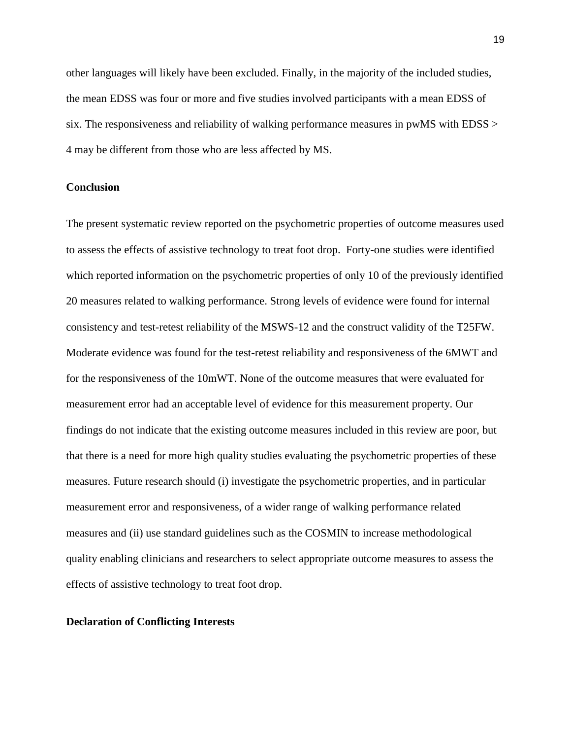other languages will likely have been excluded. Finally, in the majority of the included studies, the mean EDSS was four or more and five studies involved participants with a mean EDSS of six. The responsiveness and reliability of walking performance measures in pwMS with EDSS > 4 may be different from those who are less affected by MS.

#### **Conclusion**

The present systematic review reported on the psychometric properties of outcome measures used to assess the effects of assistive technology to treat foot drop. Forty-one studies were identified which reported information on the psychometric properties of only 10 of the previously identified 20 measures related to walking performance. Strong levels of evidence were found for internal consistency and test-retest reliability of the MSWS-12 and the construct validity of the T25FW. Moderate evidence was found for the test-retest reliability and responsiveness of the 6MWT and for the responsiveness of the 10mWT. None of the outcome measures that were evaluated for measurement error had an acceptable level of evidence for this measurement property. Our findings do not indicate that the existing outcome measures included in this review are poor, but that there is a need for more high quality studies evaluating the psychometric properties of these measures. Future research should (i) investigate the psychometric properties, and in particular measurement error and responsiveness, of a wider range of walking performance related measures and (ii) use standard guidelines such as the COSMIN to increase methodological quality enabling clinicians and researchers to select appropriate outcome measures to assess the effects of assistive technology to treat foot drop.

#### **Declaration of Conflicting Interests**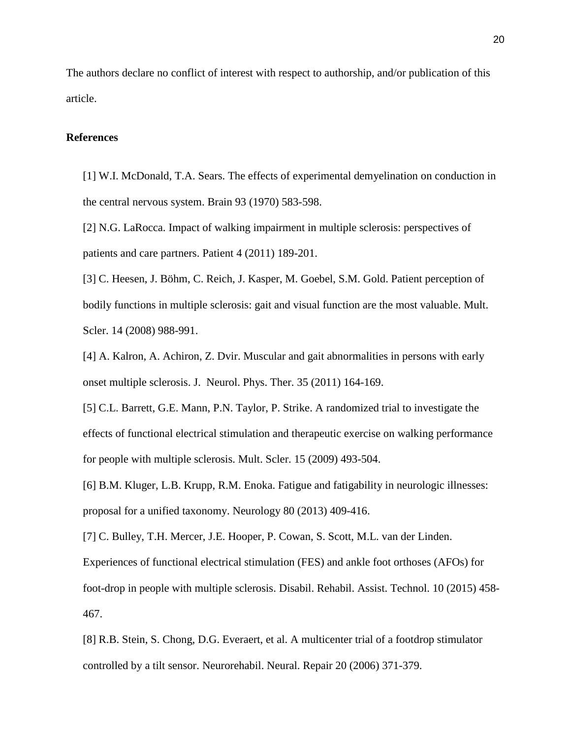The authors declare no conflict of interest with respect to authorship, and/or publication of this article.

#### **References**

[1] W.I. McDonald, T.A. Sears. The effects of experimental demyelination on conduction in the central nervous system. Brain 93 (1970) 583-598.

[2] N.G. LaRocca. Impact of walking impairment in multiple sclerosis: perspectives of patients and care partners. Patient 4 (2011) 189-201.

[3] C. Heesen, J. Böhm, C. Reich, J. Kasper, M. Goebel, S.M. Gold. Patient perception of bodily functions in multiple sclerosis: gait and visual function are the most valuable. Mult. Scler. 14 (2008) 988-991.

[4] A. Kalron, A. Achiron, Z. Dvir. Muscular and gait abnormalities in persons with early onset multiple sclerosis. J. Neurol. Phys. Ther. 35 (2011) 164-169.

[5] C.L. Barrett, G.E. Mann, P.N. Taylor, P. Strike. A randomized trial to investigate the effects of functional electrical stimulation and therapeutic exercise on walking performance for people with multiple sclerosis. Mult. Scler. 15 (2009) 493-504.

[6] B.M. Kluger, L.B. Krupp, R.M. Enoka. Fatigue and fatigability in neurologic illnesses: proposal for a unified taxonomy. Neurology 80 (2013) 409-416.

[7] C. Bulley, T.H. Mercer, J.E. Hooper, P. Cowan, S. Scott, M.L. van der Linden. Experiences of functional electrical stimulation (FES) and ankle foot orthoses (AFOs) for foot-drop in people with multiple sclerosis. Disabil. Rehabil. Assist. Technol. 10 (2015) 458- 467.

[8] R.B. Stein, S. Chong, D.G. Everaert, et al. A multicenter trial of a footdrop stimulator controlled by a tilt sensor. Neurorehabil. Neural. Repair 20 (2006) 371-379.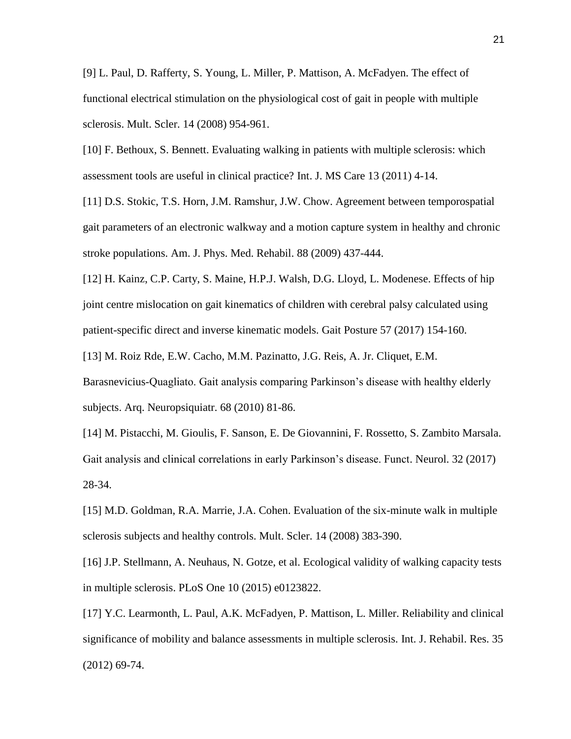[9] L. Paul, D. Rafferty, S. Young, L. Miller, P. Mattison, A. McFadyen. The effect of functional electrical stimulation on the physiological cost of gait in people with multiple sclerosis. Mult. Scler. 14 (2008) 954-961.

[10] F. Bethoux, S. Bennett. Evaluating walking in patients with multiple sclerosis: which assessment tools are useful in clinical practice? Int. J. MS Care 13 (2011) 4-14.

[11] D.S. Stokic, T.S. Horn, J.M. Ramshur, J.W. Chow. Agreement between temporospatial gait parameters of an electronic walkway and a motion capture system in healthy and chronic stroke populations. Am. J. Phys. Med. Rehabil. 88 (2009) 437-444.

[12] H. Kainz, C.P. Carty, S. Maine, H.P.J. Walsh, D.G. Lloyd, L. Modenese. Effects of hip joint centre mislocation on gait kinematics of children with cerebral palsy calculated using patient-specific direct and inverse kinematic models. Gait Posture 57 (2017) 154-160.

[13] M. Roiz Rde, E.W. Cacho, M.M. Pazinatto, J.G. Reis, A. Jr. Cliquet, E.M.

Barasnevicius-Quagliato. Gait analysis comparing Parkinson's disease with healthy elderly subjects. Arq. Neuropsiquiatr. 68 (2010) 81-86.

[14] M. Pistacchi, M. Gioulis, F. Sanson, E. De Giovannini, F. Rossetto, S. Zambito Marsala. Gait analysis and clinical correlations in early Parkinson's disease. Funct. Neurol. 32 (2017) 28-34.

[15] M.D. Goldman, R.A. Marrie, J.A. Cohen. Evaluation of the six-minute walk in multiple sclerosis subjects and healthy controls. Mult. Scler. 14 (2008) 383-390.

[16] J.P. Stellmann, A. Neuhaus, N. Gotze, et al. Ecological validity of walking capacity tests in multiple sclerosis. PLoS One 10 (2015) e0123822.

[17] Y.C. Learmonth, L. Paul, A.K. McFadyen, P. Mattison, L. Miller. Reliability and clinical significance of mobility and balance assessments in multiple sclerosis. Int. J. Rehabil. Res. 35 (2012) 69-74.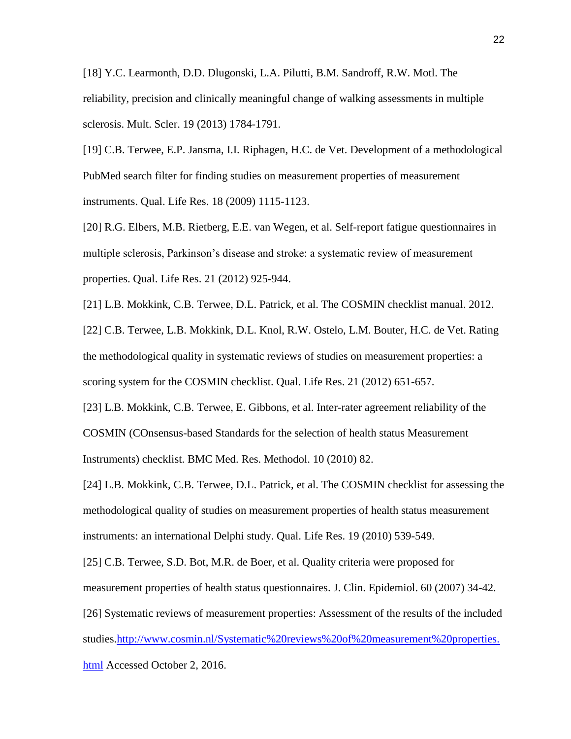[18] Y.C. Learmonth, D.D. Dlugonski, L.A. Pilutti, B.M. Sandroff, R.W. Motl. The reliability, precision and clinically meaningful change of walking assessments in multiple sclerosis. Mult. Scler. 19 (2013) 1784-1791.

[19] C.B. Terwee, E.P. Jansma, I.I. Riphagen, H.C. de Vet. Development of a methodological PubMed search filter for finding studies on measurement properties of measurement instruments. Qual. Life Res. 18 (2009) 1115-1123.

[20] R.G. Elbers, M.B. Rietberg, E.E. van Wegen, et al. Self-report fatigue questionnaires in multiple sclerosis, Parkinson's disease and stroke: a systematic review of measurement properties. Qual. Life Res. 21 (2012) 925-944.

[21] L.B. Mokkink, C.B. Terwee, D.L. Patrick, et al. The COSMIN checklist manual. 2012. [22] C.B. Terwee, L.B. Mokkink, D.L. Knol, R.W. Ostelo, L.M. Bouter, H.C. de Vet. Rating the methodological quality in systematic reviews of studies on measurement properties: a scoring system for the COSMIN checklist. Qual. Life Res. 21 (2012) 651-657.

[23] L.B. Mokkink, C.B. Terwee, E. Gibbons, et al. Inter-rater agreement reliability of the COSMIN (COnsensus-based Standards for the selection of health status Measurement Instruments) checklist. BMC Med. Res. Methodol. 10 (2010) 82.

[24] L.B. Mokkink, C.B. Terwee, D.L. Patrick, et al. The COSMIN checklist for assessing the methodological quality of studies on measurement properties of health status measurement instruments: an international Delphi study. Qual. Life Res. 19 (2010) 539-549.

[25] C.B. Terwee, S.D. Bot, M.R. de Boer, et al. Quality criteria were proposed for measurement properties of health status questionnaires. J. Clin. Epidemiol. 60 (2007) 34-42.

[26] Systematic reviews of measurement properties: Assessment of the results of the included studies[.http://www.cosmin.nl/Systematic%20reviews%20of%20measurement%20properties.](http://www.cosmin.nl/Systematic%20reviews%20of%20measurement%20properties.html) [html](http://www.cosmin.nl/Systematic%20reviews%20of%20measurement%20properties.html) Accessed October 2, 2016.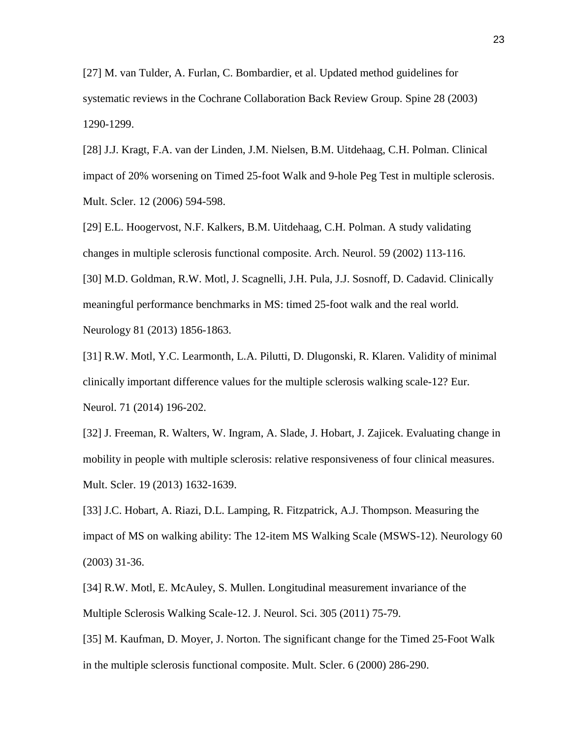[27] M. van Tulder, A. Furlan, C. Bombardier, et al. Updated method guidelines for systematic reviews in the Cochrane Collaboration Back Review Group. Spine 28 (2003) 1290-1299.

[28] J.J. Kragt, F.A. van der Linden, J.M. Nielsen, B.M. Uitdehaag, C.H. Polman. Clinical impact of 20% worsening on Timed 25-foot Walk and 9-hole Peg Test in multiple sclerosis. Mult. Scler. 12 (2006) 594-598.

[29] E.L. Hoogervost, N.F. Kalkers, B.M. Uitdehaag, C.H. Polman. A study validating changes in multiple sclerosis functional composite. Arch. Neurol. 59 (2002) 113-116. [30] M.D. Goldman, R.W. Motl, J. Scagnelli, J.H. Pula, J.J. Sosnoff, D. Cadavid. Clinically meaningful performance benchmarks in MS: timed 25-foot walk and the real world. Neurology 81 (2013) 1856-1863.

[31] R.W. Motl, Y.C. Learmonth, L.A. Pilutti, D. Dlugonski, R. Klaren. Validity of minimal clinically important difference values for the multiple sclerosis walking scale-12? Eur. Neurol. 71 (2014) 196-202.

[32] J. Freeman, R. Walters, W. Ingram, A. Slade, J. Hobart, J. Zajicek. Evaluating change in mobility in people with multiple sclerosis: relative responsiveness of four clinical measures. Mult. Scler. 19 (2013) 1632-1639.

[33] J.C. Hobart, A. Riazi, D.L. Lamping, R. Fitzpatrick, A.J. Thompson. Measuring the impact of MS on walking ability: The 12-item MS Walking Scale (MSWS-12). Neurology 60 (2003) 31-36.

[34] R.W. Motl, E. McAuley, S. Mullen. Longitudinal measurement invariance of the Multiple Sclerosis Walking Scale-12. J. Neurol. Sci. 305 (2011) 75-79.

[35] M. Kaufman, D. Moyer, J. Norton. The significant change for the Timed 25-Foot Walk in the multiple sclerosis functional composite. Mult. Scler. 6 (2000) 286-290.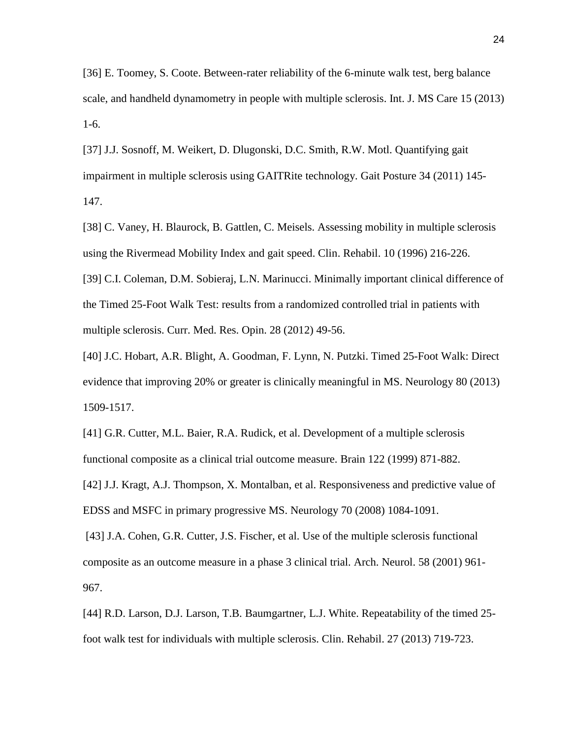[36] E. Toomey, S. Coote. Between-rater reliability of the 6-minute walk test, berg balance scale, and handheld dynamometry in people with multiple sclerosis. Int. J. MS Care 15 (2013) 1-6.

[37] J.J. Sosnoff, M. Weikert, D. Dlugonski, D.C. Smith, R.W. Motl. Quantifying gait impairment in multiple sclerosis using GAITRite technology. Gait Posture 34 (2011) 145- 147.

[38] C. Vaney, H. Blaurock, B. Gattlen, C. Meisels. Assessing mobility in multiple sclerosis using the Rivermead Mobility Index and gait speed. Clin. Rehabil. 10 (1996) 216-226.

[39] C.I. Coleman, D.M. Sobieraj, L.N. Marinucci. Minimally important clinical difference of the Timed 25-Foot Walk Test: results from a randomized controlled trial in patients with multiple sclerosis. Curr. Med. Res. Opin. 28 (2012) 49-56.

[40] J.C. Hobart, A.R. Blight, A. Goodman, F. Lynn, N. Putzki. Timed 25-Foot Walk: Direct evidence that improving 20% or greater is clinically meaningful in MS. Neurology 80 (2013) 1509-1517.

[41] G.R. Cutter, M.L. Baier, R.A. Rudick, et al. Development of a multiple sclerosis functional composite as a clinical trial outcome measure. Brain 122 (1999) 871-882.

[42] J.J. Kragt, A.J. Thompson, X. Montalban, et al. Responsiveness and predictive value of EDSS and MSFC in primary progressive MS. Neurology 70 (2008) 1084-1091.

[43] J.A. Cohen, G.R. Cutter, J.S. Fischer, et al. Use of the multiple sclerosis functional composite as an outcome measure in a phase 3 clinical trial. Arch. Neurol. 58 (2001) 961- 967.

[44] R.D. Larson, D.J. Larson, T.B. Baumgartner, L.J. White. Repeatability of the timed 25 foot walk test for individuals with multiple sclerosis. Clin. Rehabil. 27 (2013) 719-723.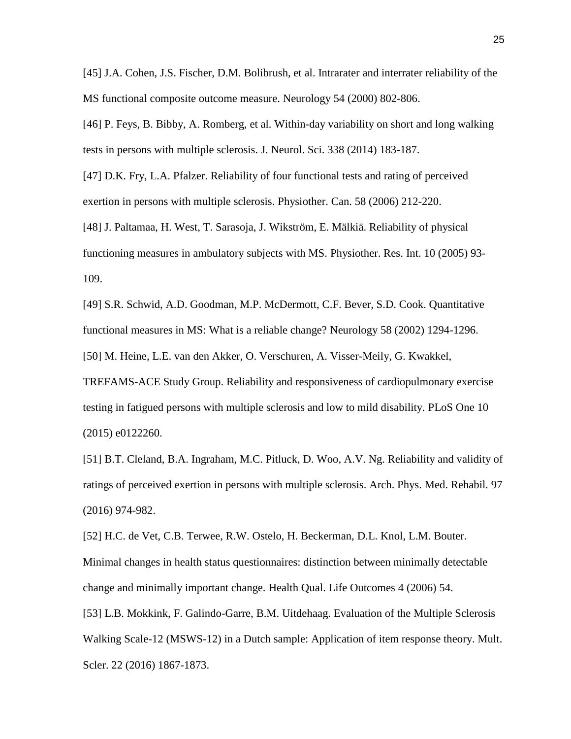[45] J.A. Cohen, J.S. Fischer, D.M. Bolibrush, et al. Intrarater and interrater reliability of the MS functional composite outcome measure. Neurology 54 (2000) 802-806.

[46] P. Feys, B. Bibby, A. Romberg, et al. Within-day variability on short and long walking tests in persons with multiple sclerosis. J. Neurol. Sci. 338 (2014) 183-187.

[47] D.K. Fry, L.A. Pfalzer. Reliability of four functional tests and rating of perceived exertion in persons with multiple sclerosis. Physiother. Can. 58 (2006) 212-220.

[48] J. Paltamaa, H. West, T. Sarasoja, J. Wikström, E. Mälkiä. Reliability of physical functioning measures in ambulatory subjects with MS. Physiother. Res. Int. 10 (2005) 93- 109.

[49] S.R. Schwid, A.D. Goodman, M.P. McDermott, C.F. Bever, S.D. Cook. Quantitative functional measures in MS: What is a reliable change? Neurology 58 (2002) 1294-1296.

[50] M. Heine, L.E. van den Akker, O. Verschuren, A. Visser-Meily, G. Kwakkel,

TREFAMS-ACE Study Group. Reliability and responsiveness of cardiopulmonary exercise testing in fatigued persons with multiple sclerosis and low to mild disability. PLoS One 10 (2015) e0122260.

[51] B.T. Cleland, B.A. Ingraham, M.C. Pitluck, D. Woo, A.V. Ng. Reliability and validity of ratings of perceived exertion in persons with multiple sclerosis. Arch. Phys. Med. Rehabil*.* 97 (2016) 974-982.

[52] H.C. de Vet, C.B. Terwee, R.W. Ostelo, H. Beckerman, D.L. Knol, L.M. Bouter. Minimal changes in health status questionnaires: distinction between minimally detectable change and minimally important change. Health Qual. Life Outcomes 4 (2006) 54.

[53] L.B. Mokkink, F. Galindo-Garre, B.M. Uitdehaag. Evaluation of the Multiple Sclerosis Walking Scale-12 (MSWS-12) in a Dutch sample: Application of item response theory. Mult. Scler. 22 (2016) 1867-1873.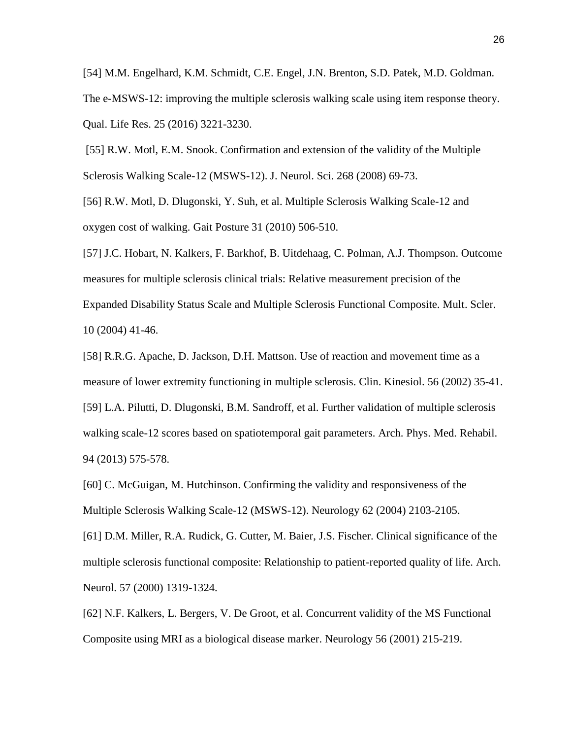[54] M.M. Engelhard, K.M. Schmidt, C.E. Engel, J.N. Brenton, S.D. Patek, M.D. Goldman. The e-MSWS-12: improving the multiple sclerosis walking scale using item response theory. Qual. Life Res. 25 (2016) 3221-3230.

[55] R.W. Motl, E.M. Snook. Confirmation and extension of the validity of the Multiple Sclerosis Walking Scale-12 (MSWS-12). J. Neurol. Sci. 268 (2008) 69-73.

[56] R.W. Motl, D. Dlugonski, Y. Suh, et al. Multiple Sclerosis Walking Scale-12 and oxygen cost of walking. Gait Posture 31 (2010) 506-510.

[57] J.C. Hobart, N. Kalkers, F. Barkhof, B. Uitdehaag, C. Polman, A.J. Thompson. Outcome measures for multiple sclerosis clinical trials: Relative measurement precision of the Expanded Disability Status Scale and Multiple Sclerosis Functional Composite. Mult. Scler. 10 (2004) 41-46.

[58] R.R.G. Apache, D. Jackson, D.H. Mattson. Use of reaction and movement time as a measure of lower extremity functioning in multiple sclerosis. Clin. Kinesiol. 56 (2002) 35-41. [59] L.A. Pilutti, D. Dlugonski, B.M. Sandroff, et al. Further validation of multiple sclerosis walking scale-12 scores based on spatiotemporal gait parameters. Arch. Phys. Med. Rehabil. 94 (2013) 575-578.

[60] C. McGuigan, M. Hutchinson. Confirming the validity and responsiveness of the Multiple Sclerosis Walking Scale-12 (MSWS-12). Neurology 62 (2004) 2103-2105.

[61] D.M. Miller, R.A. Rudick, G. Cutter, M. Baier, J.S. Fischer. Clinical significance of the multiple sclerosis functional composite: Relationship to patient-reported quality of life. Arch. Neurol. 57 (2000) 1319-1324.

[62] N.F. Kalkers, L. Bergers, V. De Groot, et al. Concurrent validity of the MS Functional Composite using MRI as a biological disease marker. Neurology 56 (2001) 215-219.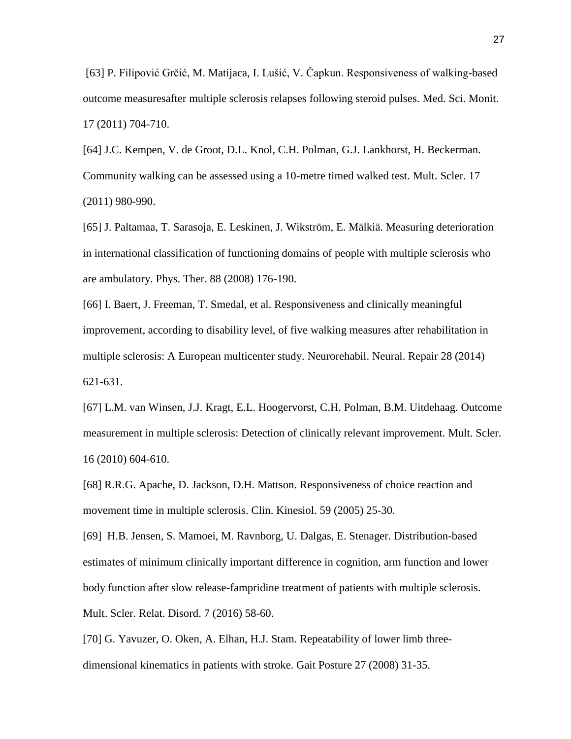[63] P. Filipović Grčić, M. Matijaca, I. Lušić, V. Čapkun. Responsiveness of walking-based outcome measuresafter multiple sclerosis relapses following steroid pulses. Med. Sci. Monit. 17 (2011) 704-710.

[64] J.C. Kempen, V. de Groot, D.L. Knol, C.H. Polman, G.J. Lankhorst, H. Beckerman. Community walking can be assessed using a 10-metre timed walked test. Mult. Scler. 17 (2011) 980-990.

[65] J. Paltamaa, T. Sarasoja, E. Leskinen, J. Wikström, E. Mälkiä. Measuring deterioration in international classification of functioning domains of people with multiple sclerosis who are ambulatory. Phys. Ther. 88 (2008) 176-190.

[66] I. Baert, J. Freeman, T. Smedal, et al. Responsiveness and clinically meaningful improvement, according to disability level, of five walking measures after rehabilitation in multiple sclerosis: A European multicenter study. Neurorehabil. Neural. Repair 28 (2014) 621-631.

[67] L.M. van Winsen, J.J. Kragt, E.L. Hoogervorst, C.H. Polman, B.M. Uitdehaag. Outcome measurement in multiple sclerosis: Detection of clinically relevant improvement. Mult. Scler. 16 (2010) 604-610.

[68] R.R.G. Apache, D. Jackson, D.H. Mattson. Responsiveness of choice reaction and movement time in multiple sclerosis. Clin. Kinesiol. 59 (2005) 25-30.

[69] H.B. Jensen, S. Mamoei, M. Ravnborg, U. Dalgas, E. Stenager. Distribution-based estimates of minimum clinically important difference in cognition, arm function and lower body function after slow release-fampridine treatment of patients with multiple sclerosis. Mult. Scler. Relat. Disord. 7 (2016) 58-60.

[70] G. Yavuzer, O. Oken, A. Elhan, H.J. Stam. Repeatability of lower limb threedimensional kinematics in patients with stroke. Gait Posture 27 (2008) 31-35.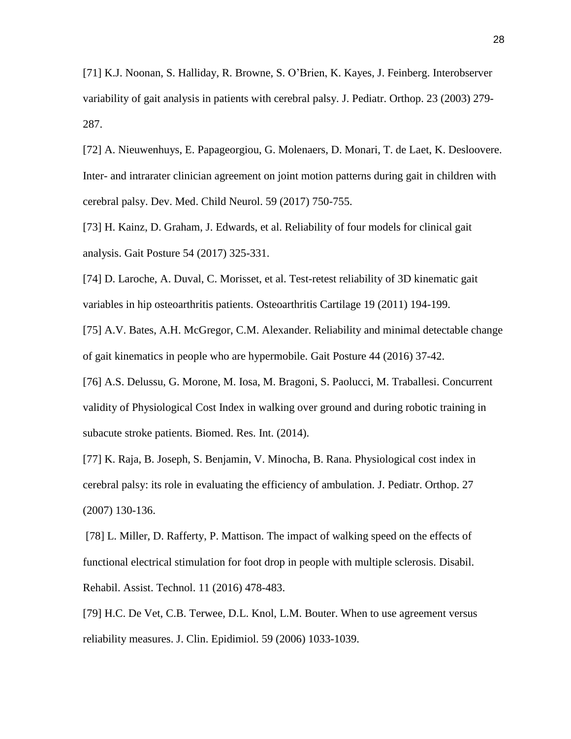[71] K.J. Noonan, S. Halliday, R. Browne, S. O'Brien, K. Kayes, J. Feinberg. Interobserver variability of gait analysis in patients with cerebral palsy. J. Pediatr. Orthop. 23 (2003) 279- 287.

[72] A. Nieuwenhuys, E. Papageorgiou, G. Molenaers, D. Monari, T. de Laet, K. Desloovere. Inter- and intrarater clinician agreement on joint motion patterns during gait in children with cerebral palsy. Dev. Med. Child Neurol. 59 (2017) 750-755.

[73] H. Kainz, D. Graham, J. Edwards, et al. Reliability of four models for clinical gait analysis. Gait Posture 54 (2017) 325-331.

[74] D. Laroche, A. Duval, C. Morisset, et al. Test-retest reliability of 3D kinematic gait variables in hip osteoarthritis patients. Osteoarthritis Cartilage 19 (2011) 194-199.

[75] A.V. Bates, A.H. McGregor, C.M. Alexander. Reliability and minimal detectable change of gait kinematics in people who are hypermobile. Gait Posture 44 (2016) 37-42.

[76] A.S. Delussu, G. Morone, M. Iosa, M. Bragoni, S. Paolucci, M. Traballesi. Concurrent validity of Physiological Cost Index in walking over ground and during robotic training in subacute stroke patients. Biomed. Res. Int. (2014).

[77] K. Raja, B. Joseph, S. Benjamin, V. Minocha, B. Rana. Physiological cost index in cerebral palsy: its role in evaluating the efficiency of ambulation. J. Pediatr. Orthop. 27 (2007) 130-136.

[78] L. Miller, D. Rafferty, P. Mattison. The impact of walking speed on the effects of functional electrical stimulation for foot drop in people with multiple sclerosis. Disabil. Rehabil. Assist. Technol. 11 (2016) 478-483.

[79] H.C. De Vet, C.B. Terwee, D.L. Knol, L.M. Bouter. When to use agreement versus reliability measures. J. Clin. Epidimiol. 59 (2006) 1033-1039.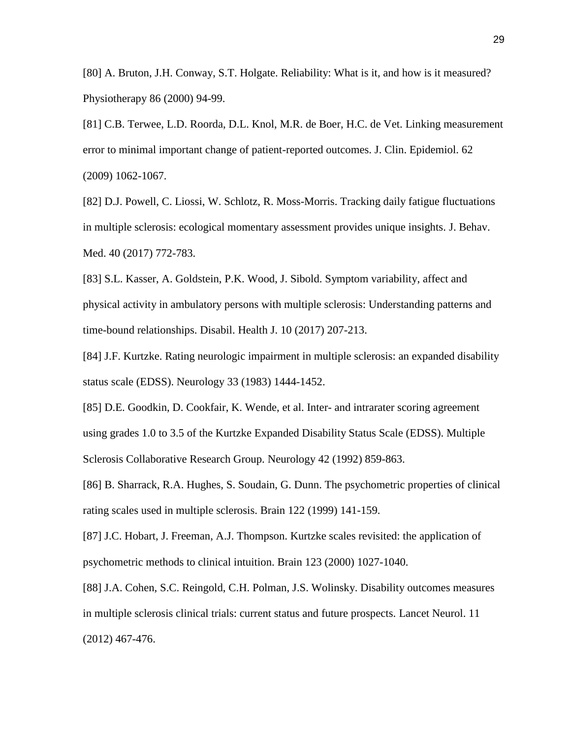[80] A. Bruton, J.H. Conway, S.T. Holgate. Reliability: What is it, and how is it measured? Physiotherapy 86 (2000) 94-99.

[81] C.B. Terwee, L.D. Roorda, D.L. Knol, M.R. de Boer, H.C. de Vet. Linking measurement error to minimal important change of patient-reported outcomes. J. Clin. Epidemiol. 62 (2009) 1062-1067.

[82] D.J. Powell, C. Liossi, W. Schlotz, R. Moss-Morris. Tracking daily fatigue fluctuations in multiple sclerosis: ecological momentary assessment provides unique insights. J. Behav. Med. 40 (2017) 772-783.

[83] S.L. Kasser, A. Goldstein, P.K. Wood, J. Sibold. Symptom variability, affect and physical activity in ambulatory persons with multiple sclerosis: Understanding patterns and time-bound relationships. Disabil. Health J. 10 (2017) 207-213.

[84] J.F. Kurtzke. Rating neurologic impairment in multiple sclerosis: an expanded disability status scale (EDSS). Neurology 33 (1983) 1444-1452.

[85] D.E. Goodkin, D. Cookfair, K. Wende, et al. Inter- and intrarater scoring agreement using grades 1.0 to 3.5 of the Kurtzke Expanded Disability Status Scale (EDSS). Multiple Sclerosis Collaborative Research Group. Neurology 42 (1992) 859-863.

[86] B. Sharrack, R.A. Hughes, S. Soudain, G. Dunn. The psychometric properties of clinical rating scales used in multiple sclerosis. Brain 122 (1999) 141-159.

[87] J.C. Hobart, J. Freeman, A.J. Thompson. Kurtzke scales revisited: the application of psychometric methods to clinical intuition. Brain 123 (2000) 1027-1040.

[88] J.A. Cohen, S.C. Reingold, C.H. Polman, J.S. Wolinsky. Disability outcomes measures in multiple sclerosis clinical trials: current status and future prospects. Lancet Neurol. 11 (2012) 467-476.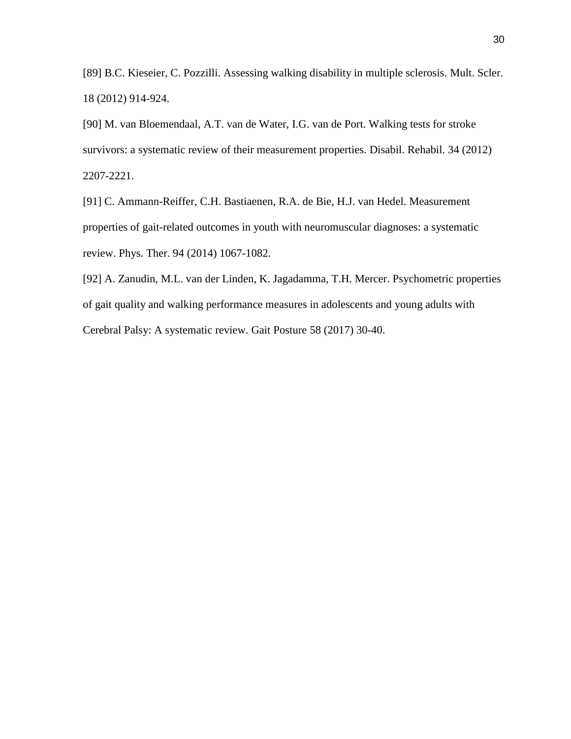[89] B.C. Kieseier, C. Pozzilli. Assessing walking disability in multiple sclerosis. Mult. Scler. 18 (2012) 914-924.

[90] M. van Bloemendaal, A.T. van de Water, I.G. van de Port. Walking tests for stroke survivors: a systematic review of their measurement properties. Disabil. Rehabil. 34 (2012) 2207-2221.

[91] C. Ammann-Reiffer, C.H. Bastiaenen, R.A. de Bie, H.J. van Hedel. Measurement properties of gait-related outcomes in youth with neuromuscular diagnoses: a systematic review. Phys. Ther. 94 (2014) 1067-1082.

[92] A. Zanudin, M.L. van der Linden, K. Jagadamma, T.H. Mercer. Psychometric properties of gait quality and walking performance measures in adolescents and young adults with Cerebral Palsy: A systematic review. Gait Posture 58 (2017) 30-40.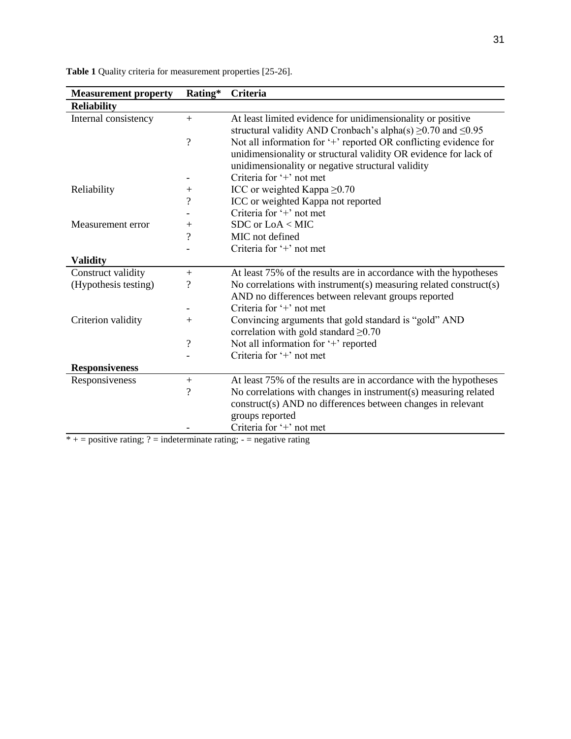| <b>Table 1</b> Quality criteria for measurement properties [25-26]. |  |
|---------------------------------------------------------------------|--|
|---------------------------------------------------------------------|--|

| <b>Measurement property</b> | Rating*                          | Criteria                                                                |
|-----------------------------|----------------------------------|-------------------------------------------------------------------------|
| <b>Reliability</b>          |                                  |                                                                         |
| Internal consistency        | $+$                              | At least limited evidence for unidimensionality or positive             |
|                             |                                  | structural validity AND Cronbach's alpha(s) $\geq$ 0.70 and $\leq$ 0.95 |
|                             | $\overline{\mathcal{L}}$         | Not all information for '+' reported OR conflicting evidence for        |
|                             |                                  | unidimensionality or structural validity OR evidence for lack of        |
|                             |                                  | unidimensionality or negative structural validity                       |
|                             |                                  | Criteria for '+' not met                                                |
| Reliability                 | $^{+}$                           | ICC or weighted Kappa $\geq 0.70$                                       |
|                             | $\overline{\mathcal{L}}$         | ICC or weighted Kappa not reported                                      |
|                             |                                  | Criteria for '+' not met                                                |
| Measurement error           | $\hspace{0.1mm} +\hspace{0.1mm}$ | $SDC$ or $LoA < MIC$                                                    |
|                             | $\overline{\mathcal{L}}$         | MIC not defined                                                         |
|                             |                                  | Criteria for $+$ not met                                                |
| <b>Validity</b>             |                                  |                                                                         |
| Construct validity          | $+$                              | At least 75% of the results are in accordance with the hypotheses       |
| (Hypothesis testing)        | ?                                | No correlations with instrument(s) measuring related construct(s)       |
|                             |                                  | AND no differences between relevant groups reported                     |
|                             |                                  | Criteria for $+$ not met                                                |
| Criterion validity          | $+$                              | Convincing arguments that gold standard is "gold" AND                   |
|                             |                                  | correlation with gold standard $\geq 0.70$                              |
|                             | $\overline{\mathcal{L}}$         | Not all information for '+' reported                                    |
|                             |                                  | Criteria for $+$ not met                                                |
| <b>Responsiveness</b>       |                                  |                                                                         |
| Responsiveness              | $+$                              | At least 75% of the results are in accordance with the hypotheses       |
|                             | $\overline{\mathcal{L}}$         | No correlations with changes in instrument(s) measuring related         |
|                             |                                  | construct(s) AND no differences between changes in relevant             |
|                             |                                  | groups reported                                                         |
|                             |                                  | Criteria for '+' not met                                                |

 $* +$  = positive rating; ? = indeterminate rating; - = negative rating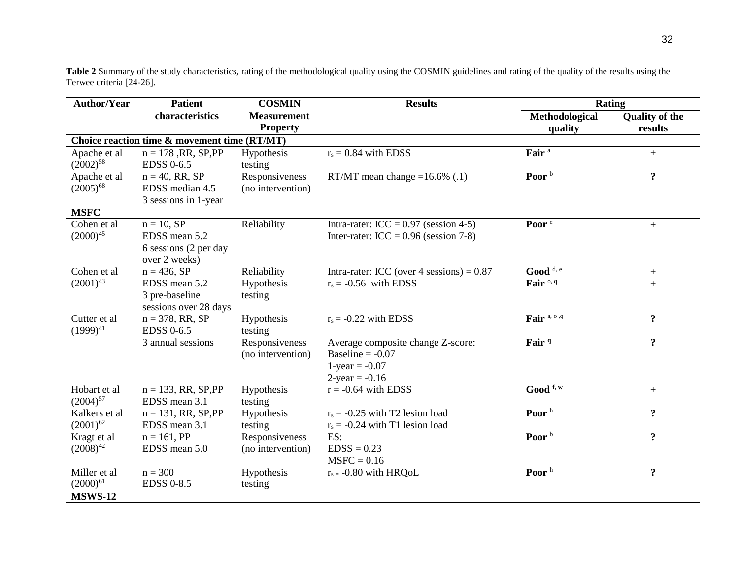**Table 2** Summary of the study characteristics, rating of the methodological quality using the COSMIN guidelines and rating of the quality of the results using the Terwee criteria [24-26].

| <b>Author/Year</b> | <b>Patient</b>                               | <b>COSMIN</b>      | <b>Results</b>                              | <b>Rating</b>                   |                       |
|--------------------|----------------------------------------------|--------------------|---------------------------------------------|---------------------------------|-----------------------|
|                    | characteristics                              | <b>Measurement</b> |                                             | Methodological                  | <b>Quality of the</b> |
|                    |                                              | <b>Property</b>    |                                             | quality                         | results               |
|                    | Choice reaction time & movement time (RT/MT) |                    |                                             |                                 |                       |
| Apache et al       | $n = 178$ , RR, SP, PP                       | Hypothesis         | $r_s = 0.84$ with EDSS                      | Fair <sup>a</sup>               | $+$                   |
| $(2002)^{58}$      | <b>EDSS 0-6.5</b>                            | testing            |                                             |                                 |                       |
| Apache et al       | $n = 40$ , RR, SP                            | Responsiveness     | RT/MT mean change = $16.6\%$ (.1)           | Poor <sup>b</sup>               | $\ddot{\mathbf{.}}$   |
| $(2005)^{68}$      | EDSS median 4.5                              | (no intervention)  |                                             |                                 |                       |
|                    | 3 sessions in 1-year                         |                    |                                             |                                 |                       |
| <b>MSFC</b>        |                                              |                    |                                             |                                 |                       |
| Cohen et al        | $n = 10$ , SP                                | Reliability        | Intra-rater: $ICC = 0.97$ (session 4-5)     | Poor <sup>c</sup>               | $+$                   |
| $(2000)^{45}$      | EDSS mean 5.2                                |                    | Inter-rater: $ICC = 0.96$ (session 7-8)     |                                 |                       |
|                    | 6 sessions (2 per day                        |                    |                                             |                                 |                       |
|                    | over 2 weeks)                                |                    |                                             |                                 |                       |
| Cohen et al        | $n = 436$ , SP                               | Reliability        | Intra-rater: ICC (over 4 sessions) = $0.87$ | Good <sup>d, e</sup>            | $+$                   |
| $(2001)^{43}$      | EDSS mean 5.2                                | Hypothesis         | $r_s = -0.56$ with EDSS                     | Fair <sup>o, q</sup>            | $+$                   |
|                    | 3 pre-baseline                               | testing            |                                             |                                 |                       |
|                    | sessions over 28 days                        |                    |                                             |                                 |                       |
| Cutter et al       | $n = 378$ , RR, SP                           | Hypothesis         | $r_s = -0.22$ with EDSS                     | Fair <sup>a, o,q</sup>          | $\ddot{\mathbf{c}}$   |
| $(1999)^{41}$      | <b>EDSS 0-6.5</b>                            | testing            |                                             |                                 |                       |
|                    | 3 annual sessions                            | Responsiveness     | Average composite change Z-score:           | Fair <sup>q</sup>               | $\ddot{\cdot}$        |
|                    |                                              | (no intervention)  | Baseline = $-0.07$                          |                                 |                       |
|                    |                                              |                    | $1$ -year = -0.07                           |                                 |                       |
|                    |                                              |                    | $2$ -year = -0.16                           |                                 |                       |
| Hobart et al       | $n = 133$ , RR, SP, PP                       | Hypothesis         | $r = -0.64$ with EDSS                       | $\mathrm{Good}$ <sup>f, w</sup> | $+$                   |
| $(2004)^{57}$      | EDSS mean 3.1                                | testing            |                                             |                                 |                       |
| Kalkers et al      | $n = 131$ , RR, SP, PP                       | Hypothesis         | $r_s = -0.25$ with T2 lesion load           | Poor <sup>h</sup>               | $\ddot{\textbf{.}}$   |
| $(2001)^{62}$      | EDSS mean 3.1                                | testing            | $r_s = -0.24$ with T1 lesion load           |                                 |                       |
| Kragt et al        | $n = 161$ , PP                               | Responsiveness     | ES:                                         | Poor <sup>b</sup>               | $\ddot{\cdot}$        |
| $(2008)^{42}$      | EDSS mean 5.0                                | (no intervention)  | $EDSS = 0.23$                               |                                 |                       |
|                    |                                              |                    | $MSFC = 0.16$                               |                                 |                       |
| Miller et al       | $n = 300$                                    | Hypothesis         | $r_{s} = -0.80$ with HRQoL                  | Poor <sup>h</sup>               | $\ddot{\mathbf{.}}$   |
| $(2000)^{61}$      | <b>EDSS 0-8.5</b>                            | testing            |                                             |                                 |                       |
| <b>MSWS-12</b>     |                                              |                    |                                             |                                 |                       |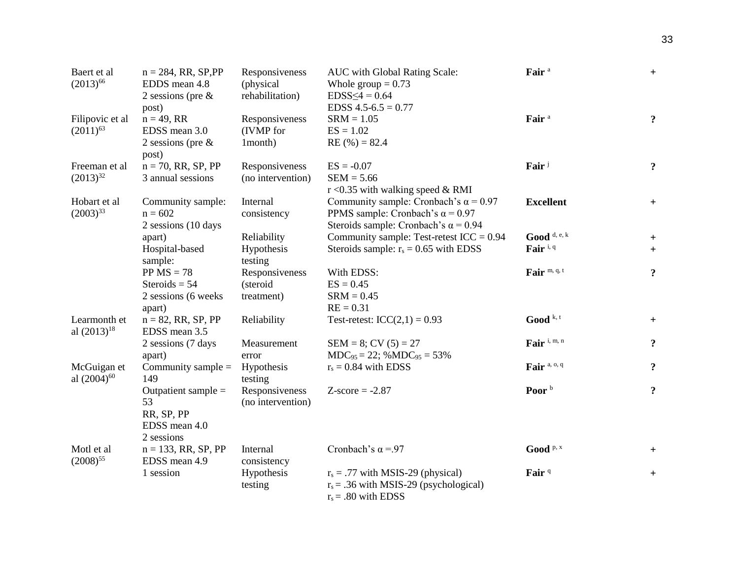| Baert et al<br>$(2013)^{66}$           | $n = 284$ , RR, SP, PP<br>EDDS mean 4.8<br>2 sessions (pre $\&$<br>post) | Responsiveness<br>(physical)<br>rehabilitation) | AUC with Global Rating Scale:<br>Whole group $= 0.73$<br>$EDSS \leq 4 = 0.64$<br>EDSS $4.5 - 6.5 = 0.77$                               | Fair <sup>a</sup>             | $\ddot{}$          |
|----------------------------------------|--------------------------------------------------------------------------|-------------------------------------------------|----------------------------------------------------------------------------------------------------------------------------------------|-------------------------------|--------------------|
| Filipovic et al<br>$(2011)^{63}$       | $n = 49$ , RR<br>EDSS mean 3.0<br>2 sessions (pre $\&$<br>post)          | Responsiveness<br>(IVMP for<br>1 month)         | $SRM = 1.05$<br>$ES = 1.02$<br>$RE(%) = 82.4$                                                                                          | Fair <sup>a</sup>             | $\ddot{\cdot}$     |
| Freeman et al<br>$(2013)^{32}$         | $n = 70$ , RR, SP, PP<br>3 annual sessions                               | Responsiveness<br>(no intervention)             | $ES = -0.07$<br>$SEM = 5.66$<br>$r$ <0.35 with walking speed & RMI                                                                     | Fair <sup>j</sup>             | $\ddot{\cdot}$     |
| Hobart et al<br>$(2003)^{33}$          | Community sample:<br>$n = 602$<br>2 sessions (10 days                    | Internal<br>consistency                         | Community sample: Cronbach's $\alpha$ = 0.97<br>PPMS sample: Cronbach's $\alpha$ = 0.97<br>Steroids sample: Cronbach's $\alpha$ = 0.94 | <b>Excellent</b>              | $\ddot{}$          |
|                                        | apart)<br>Hospital-based<br>sample:                                      | Reliability<br>Hypothesis<br>testing            | Community sample: Test-retest $ICC = 0.94$<br>Steroids sample: $r_s = 0.65$ with EDSS                                                  | Good $d, e, k$<br>Fair $i, q$ | $\pm$<br>$\ddot{}$ |
|                                        | $PP MS = 78$<br>Steroids = $54$<br>2 sessions (6 weeks)<br>apart)        | Responsiveness<br>(steroid<br>treatment)        | With EDSS:<br>$ES = 0.45$<br>$SRM = 0.45$<br>$RE = 0.31$                                                                               | Fair m, q, t                  | $\ddot{\cdot}$     |
| Learmonth et<br>al $(2013)^{18}$       | $n = 82$ , RR, SP, PP<br>EDSS mean 3.5                                   | Reliability                                     | Test-retest: $ICC(2,1) = 0.93$                                                                                                         | Good $k$ , t                  | $^{+}$             |
|                                        | 2 sessions (7 days<br>apart)                                             | Measurement<br>error                            | $SEM = 8$ ; CV $(5) = 27$<br>$MDC_{95} = 22$ ; % $MDC_{95} = 53%$                                                                      | Fair i, m, n                  | $\ddot{\cdot}$     |
| McGuigan et<br>al (2004) <sup>60</sup> | Community sample $=$<br>149                                              | Hypothesis<br>testing                           | $r_s = 0.84$ with EDSS                                                                                                                 | Fair <sup>a, o, q</sup>       | $\ddot{\cdot}$     |
|                                        | Outpatient sample $=$<br>53<br>RR, SP, PP<br>EDSS mean 4.0<br>2 sessions | Responsiveness<br>(no intervention)             | $Z-score = -2.87$                                                                                                                      | Poor $b$                      | $\ddot{\cdot}$     |
| Motl et al.<br>$(2008)^{55}$           | $n = 133$ , RR, SP, PP<br>EDSS mean 4.9                                  | Internal<br>consistency                         | Cronbach's $\alpha$ = 97                                                                                                               | $\text{Good } P$ , x          | $\ddot{}$          |
|                                        | 1 session                                                                | Hypothesis<br>testing                           | $r_s = .77$ with MSIS-29 (physical)<br>$r_s$ = .36 with MSIS-29 (psychological)<br>$r_s = .80$ with EDSS                               | Fair <sup>q</sup>             | $\ddag$            |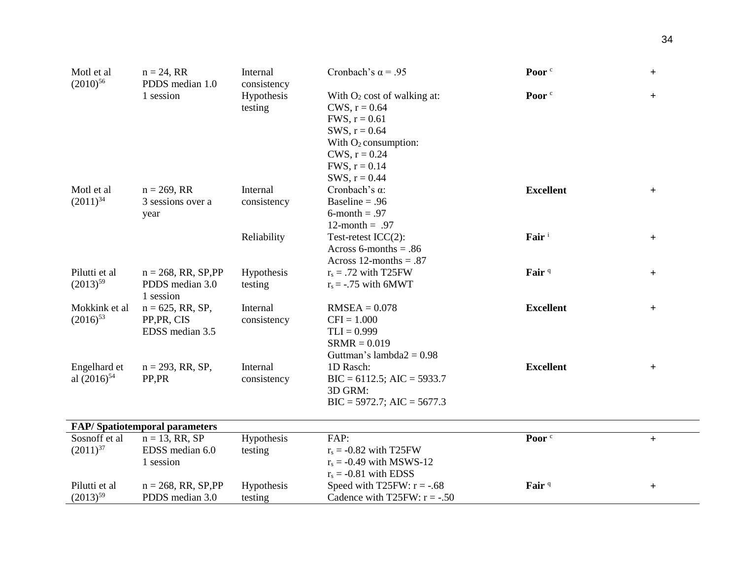| Motl et al<br>$(2010)^{56}$      | $n = 24, RR$<br>PDDS median 1.0                        | Internal                             | Poor <sup>c</sup><br>Cronbach's $\alpha$ = .95                                                                                                                              |                   | $^{+}$           |
|----------------------------------|--------------------------------------------------------|--------------------------------------|-----------------------------------------------------------------------------------------------------------------------------------------------------------------------------|-------------------|------------------|
|                                  | 1 session                                              | consistency<br>Hypothesis<br>testing | With $O_2$ cost of walking at:<br>CWS, $r = 0.64$<br>FWS, $r = 0.61$<br>SWS, $r = 0.64$<br>With $O_2$ consumption:<br>CWS, $r = 0.24$<br>FWS, $r = 0.14$<br>SWS, $r = 0.44$ | Poor <sup>c</sup> | $+$              |
| Motl et al<br>$(2011)^{34}$      | $n = 269$ , RR<br>3 sessions over a<br>year            | Internal<br>consistency              | Cronbach's $\alpha$ :<br>Baseline = $.96$<br>$6$ -month = .97<br>12-month = $.97$                                                                                           | <b>Excellent</b>  | $+$              |
|                                  |                                                        | Reliability                          | Test-retest $ICC(2)$ :<br>Across 6-months = $.86$<br>Across 12-months = $.87$                                                                                               | Fair <sup>i</sup> | $+$              |
| Pilutti et al<br>$(2013)^{59}$   | $n = 268$ , RR, SP, PP<br>PDDS median 3.0<br>1 session | Hypothesis<br>testing                | $r_s = .72$ with T25FW<br>$r_s = -.75$ with 6MWT                                                                                                                            | Fair <sup>q</sup> | $+$              |
| Mokkink et al<br>$(2016)^{53}$   | $n = 625$ , RR, SP,<br>PP, PR, CIS<br>EDSS median 3.5  | Internal<br>consistency              | $RMSEA = 0.078$<br>$CFI = 1.000$<br>$TLI = 0.999$<br>$SRMR = 0.019$<br>Guttman's lambda $2 = 0.98$                                                                          | <b>Excellent</b>  | $+$              |
| Engelhard et<br>al $(2016)^{54}$ | $n = 293$ , RR, SP,<br>PP,PR                           | Internal<br>consistency              | 1D Rasch:<br>$BIC = 6112.5$ ; AIC = 5933.7<br>3D GRM:<br>$BIC = 5972.7$ ; AIC = 5677.3                                                                                      | <b>Excellent</b>  | $+$              |
|                                  | <b>FAP/Spatiotemporal parameters</b>                   |                                      |                                                                                                                                                                             |                   |                  |
| Sosnoff et al<br>$(2011)^{37}$   | $n = 13$ , RR, SP<br>EDSS median 6.0<br>1 session      | Hypothesis<br>testing                | FAP:<br>$r_s = -0.82$ with T25FW<br>$r_s = -0.49$ with MSWS-12<br>$r_s = -0.81$ with EDSS                                                                                   | Poor <sup>c</sup> | $\boldsymbol{+}$ |
| Pilutti et al<br>$(2013)^{59}$   | $n = 268$ , RR, SP, PP<br>PDDS median 3.0              | Hypothesis<br>testing                | Speed with T25FW: $r = -.68$<br>Cadence with T25FW: $r = -.50$                                                                                                              | Fair <sup>q</sup> | $^{+}$           |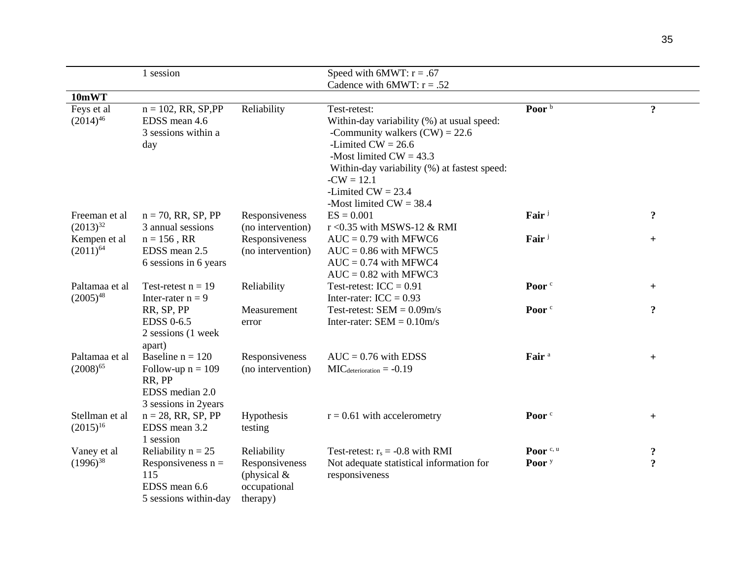|                                                | 1 session                                                                                      |                                                                            | Speed with 6MWT: $r = .67$                                                                                                                                                                                                                  |                                           |                          |
|------------------------------------------------|------------------------------------------------------------------------------------------------|----------------------------------------------------------------------------|---------------------------------------------------------------------------------------------------------------------------------------------------------------------------------------------------------------------------------------------|-------------------------------------------|--------------------------|
|                                                |                                                                                                |                                                                            | Cadence with 6MWT: $r = .52$                                                                                                                                                                                                                |                                           |                          |
| 10mWT                                          |                                                                                                |                                                                            |                                                                                                                                                                                                                                             |                                           |                          |
| Feys et al<br>$(2014)^{46}$                    | $n = 102$ , RR, SP, PP<br>EDSS mean 4.6<br>3 sessions within a<br>day                          | Reliability                                                                | Test-retest:<br>Within-day variability (%) at usual speed:<br>-Community walkers $(CW) = 22.6$<br>-Limited $CW = 26.6$<br>-Most limited $CW = 43.3$<br>Within-day variability (%) at fastest speed:<br>$-CW = 12.1$<br>-Limited $CW = 23.4$ | Poor <sup>b</sup>                         | $\ddot{\mathbf{c}}$      |
| Freeman et al                                  | $n = 70$ , RR, SP, PP                                                                          | Responsiveness                                                             | -Most limited $CW = 38.4$<br>$ES = 0.001$                                                                                                                                                                                                   | Fair <sup>j</sup>                         | $\ddot{\mathbf{c}}$      |
| $(2013)^{32}$<br>Kempen et al<br>$(2011)^{64}$ | 3 annual sessions<br>$n = 156$ , RR<br>EDSS mean 2.5<br>6 sessions in 6 years                  | (no intervention)<br>Responsiveness<br>(no intervention)                   | r < 0.35 with MSWS-12 & RMI<br>$AUC = 0.79$ with MFWC6<br>$AUC = 0.86$ with MFWC5<br>$AUC = 0.74$ with MFWC4<br>$AUC = 0.82$ with MFWC3                                                                                                     | Fair <sup>j</sup>                         | $+$                      |
| Paltamaa et al<br>$(2005)^{48}$                | Test-retest $n = 19$<br>Inter-rater $n = 9$                                                    | Reliability                                                                | Test-retest: $ICC = 0.91$<br>Inter-rater: $ICC = 0.93$                                                                                                                                                                                      | Poor <sup>c</sup>                         | $+$                      |
|                                                | RR, SP, PP<br><b>EDSS 0-6.5</b><br>2 sessions (1 week<br>apart)                                | Measurement<br>error                                                       | Test-retest: $SEM = 0.09m/s$<br>Inter-rater: $SEM = 0.10m/s$                                                                                                                                                                                | Poor <sup>c</sup>                         | $\ddot{\mathbf{c}}$      |
| Paltamaa et al<br>$(2008)^{65}$                | Baseline $n = 120$<br>Follow-up $n = 109$<br>RR, PP<br>EDSS median 2.0<br>3 sessions in 2years | Responsiveness<br>(no intervention)                                        | $AUC = 0.76$ with EDSS<br>$MIC_{\text{determination}} = -0.19$                                                                                                                                                                              | Fair <sup>a</sup>                         | $+$                      |
| Stellman et al<br>$(2015)^{16}$                | $n = 28$ , RR, SP, PP<br>EDSS mean 3.2<br>1 session                                            | Hypothesis<br>testing                                                      | $r = 0.61$ with accelerometry                                                                                                                                                                                                               | Poor <sup>c</sup>                         | $+$                      |
| Vaney et al<br>$(1996)^{38}$                   | Reliability $n = 25$<br>Responsiveness $n =$<br>115<br>EDSS mean 6.6<br>5 sessions within-day  | Reliability<br>Responsiveness<br>(physical $&$<br>occupational<br>therapy) | Test-retest: $r_s = -0.8$ with RMI<br>Not adequate statistical information for<br>responsiveness                                                                                                                                            | Poor <sup>c, u</sup><br>Poor <sup>y</sup> | ?<br>$\ddot{\mathbf{c}}$ |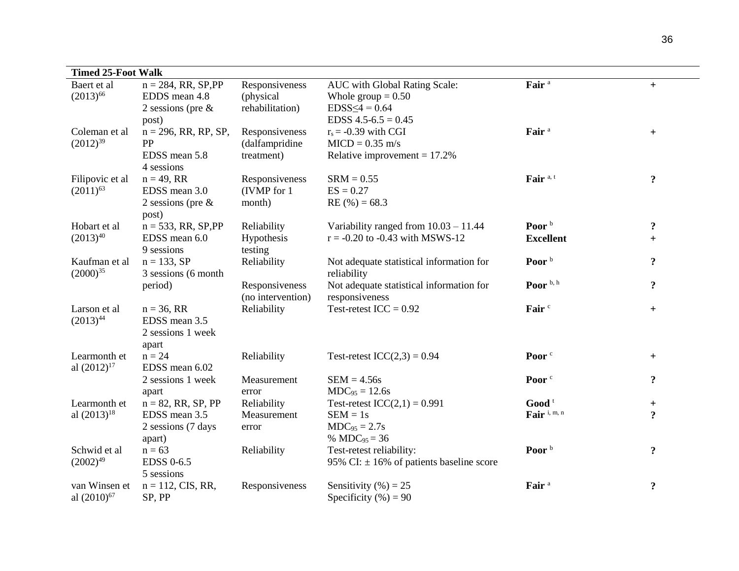| <b>Timed 25-Foot Walk</b> |                         |                   |                                              |                     |                     |
|---------------------------|-------------------------|-------------------|----------------------------------------------|---------------------|---------------------|
| Baert et al               | $n = 284$ , RR, SP, PP  | Responsiveness    | AUC with Global Rating Scale:                | Fair <sup>a</sup>   | $\ddot{}$           |
| $(2013)^{66}$             | EDDS mean 4.8           | (physical)        | Whole group $= 0.50$                         |                     |                     |
|                           | 2 sessions (pre $\&$    | rehabilitation)   | $EDSS \leq 4 = 0.64$                         |                     |                     |
|                           | post)                   |                   | EDSS $4.5 - 6.5 = 0.45$                      |                     |                     |
| Coleman et al             | $n = 296$ , RR, RP, SP, | Responsiveness    | $r_s = -0.39$ with CGI                       | Fair <sup>a</sup>   | $+$                 |
| $(2012)^{39}$             | PP                      | (dalfampridine    | $MICD = 0.35$ m/s                            |                     |                     |
|                           | EDSS mean 5.8           | treatment)        | Relative improvement = $17.2\%$              |                     |                     |
|                           | 4 sessions              |                   |                                              |                     |                     |
| Filipovic et al           | $n = 49$ , RR           | Responsiveness    | $SRM = 0.55$                                 | Fair <sup>a,t</sup> | $\ddot{\mathbf{c}}$ |
| $(2011)^{63}$             | EDSS mean 3.0           | (IVMP for 1)      | $ES = 0.27$                                  |                     |                     |
|                           | 2 sessions (pre $\&$    | month)            | $RE(%) = 68.3$                               |                     |                     |
|                           | post)                   |                   |                                              |                     |                     |
| Hobart et al              | $n = 533$ , RR, SP, PP  | Reliability       | Variability ranged from $10.03 - 11.44$      | Poor <sup>b</sup>   | $\ddot{\mathbf{c}}$ |
| $(2013)^{40}$             | EDSS mean 6.0           | Hypothesis        | $r = -0.20$ to $-0.43$ with MSWS-12          | <b>Excellent</b>    | $\pm$               |
|                           | 9 sessions              | testing           |                                              |                     |                     |
| Kaufman et al             | $n = 133, SP$           | Reliability       | Not adequate statistical information for     | Poor <sup>b</sup>   | $\ddot{\mathbf{c}}$ |
| $(2000)^{35}$             | 3 sessions (6 month     |                   | reliability                                  |                     |                     |
|                           | period)                 | Responsiveness    | Not adequate statistical information for     | Poor $\frac{b}{n}$  | $\ddot{\mathbf{c}}$ |
|                           |                         | (no intervention) | responsiveness                               |                     |                     |
| Larson et al              | $n = 36, RR$            | Reliability       | Test-retest $ICC = 0.92$                     | Fair <sup>c</sup>   | $+$                 |
| $(2013)^{44}$             | EDSS mean 3.5           |                   |                                              |                     |                     |
|                           | 2 sessions 1 week       |                   |                                              |                     |                     |
|                           | apart                   |                   |                                              |                     |                     |
| Learmonth et              | $n = 24$                | Reliability       | Test-retest $ICC(2,3) = 0.94$                | Poor <sup>c</sup>   | $+$                 |
| al $(2012)^{17}$          | EDSS mean 6.02          |                   |                                              |                     |                     |
|                           | 2 sessions 1 week       | Measurement       | $SEM = 4.56s$                                | Poor <sup>c</sup>   | $\ddot{\mathbf{c}}$ |
|                           | apart                   | error             | $MDC_{95} = 12.6s$                           |                     |                     |
| Learmonth et              | $n = 82$ , RR, SP, PP   | Reliability       | Test-retest $ICC(2,1) = 0.991$               | Good $t$            | $\pm$               |
| al $(2013)^{18}$          | EDSS mean 3.5           | Measurement       | $SEM = 1s$                                   | Fair i, m, n        | $\ddot{\mathbf{c}}$ |
|                           | 2 sessions (7 days      | error             | $MDC_{95} = 2.7s$                            |                     |                     |
|                           | apart)                  |                   | % $MDC_{95} = 36$                            |                     |                     |
| Schwid et al              | $n = 63$                | Reliability       | Test-retest reliability:                     | Poor <sup>b</sup>   | $\ddot{\mathbf{c}}$ |
| $(2002)^{49}$             | <b>EDSS 0-6.5</b>       |                   | 95% CI: $\pm$ 16% of patients baseline score |                     |                     |
|                           | 5 sessions              |                   |                                              |                     |                     |
| van Winsen et             | $n = 112$ , CIS, RR,    | Responsiveness    | Sensitivity $(\% ) = 25$                     | Fair <sup>a</sup>   | $\ddot{\mathbf{c}}$ |
| al $(2010)^{67}$          | SP, PP                  |                   | Specificity $(\%)=90$                        |                     |                     |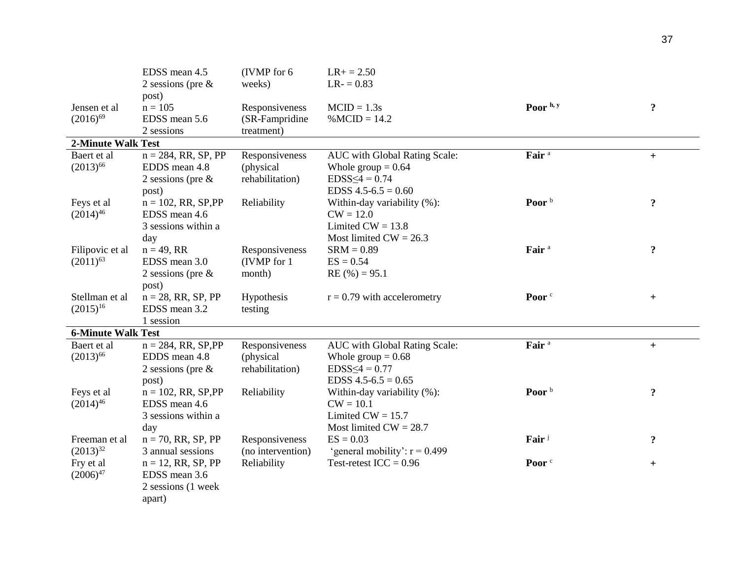|                                  | EDSS mean 4.5<br>2 sessions (pre $\&$<br>post)                           | (IVMP for 6)<br>weeks)                         | $LR+ = 2.50$<br>$LR = 0.83$                                                                              |                   |                     |
|----------------------------------|--------------------------------------------------------------------------|------------------------------------------------|----------------------------------------------------------------------------------------------------------|-------------------|---------------------|
| Jensen et al<br>$(2016)^{69}$    | $n = 105$<br>EDSS mean 5.6<br>2 sessions                                 | Responsiveness<br>(SR-Fampridine<br>treatment) | $MCID = 1.3s$<br>$% MCID = 14.2$                                                                         | Poor h, y         | $\ddot{\mathbf{c}}$ |
| <b>2-Minute Walk Test</b>        |                                                                          |                                                |                                                                                                          |                   |                     |
| Baert et al<br>$(2013)^{66}$     | $n = 284$ , RR, SP, PP<br>EDDS mean 4.8<br>2 sessions (pre $\&$<br>post) | Responsiveness<br>(physical<br>rehabilitation) | AUC with Global Rating Scale:<br>Whole group $= 0.64$<br>$EDSS \leq 4 = 0.74$<br>EDSS $4.5 - 6.5 = 0.60$ | Fair <sup>a</sup> | $+$                 |
| Feys et al<br>$(2014)^{46}$      | $n = 102$ , RR, SP, PP<br>EDSS mean 4.6<br>3 sessions within a<br>day    | Reliability                                    | Within-day variability (%):<br>$CW = 12.0$<br>Limited $CW = 13.8$<br>Most limited $CW = 26.3$            | Poor <sup>b</sup> | $\ddot{\mathbf{c}}$ |
| Filipovic et al<br>$(2011)^{63}$ | $n = 49$ , RR<br>EDSS mean 3.0<br>2 sessions (pre $\&$<br>post)          | Responsiveness<br>(IVMP for 1)<br>month)       | $SRM = 0.89$<br>$ES = 0.54$<br>$RE(%) = 95.1$                                                            | Fair <sup>a</sup> | $\ddot{\mathbf{c}}$ |
| Stellman et al<br>$(2015)^{16}$  | $n = 28$ , RR, SP, PP<br>EDSS mean 3.2<br>1 session                      | Hypothesis<br>testing                          | $r = 0.79$ with accelerometry                                                                            | Poor <sup>c</sup> | $+$                 |
| <b>6-Minute Walk Test</b>        |                                                                          |                                                |                                                                                                          |                   |                     |
| Baert et al<br>$(2013)^{66}$     | $n = 284$ , RR, SP, PP<br>EDDS mean 4.8<br>2 sessions (pre $\&$<br>post) | Responsiveness<br>(physical<br>rehabilitation) | AUC with Global Rating Scale:<br>Whole group $= 0.68$<br>$EDSS \leq 4 = 0.77$<br>EDSS $4.5 - 6.5 = 0.65$ | Fair <sup>a</sup> | $\ddot{}$           |
| Feys et al<br>$(2014)^{46}$      | $n = 102$ , RR, SP, PP<br>EDSS mean 4.6<br>3 sessions within a<br>day    | Reliability                                    | Within-day variability (%):<br>$CW = 10.1$<br>Limited $CW = 15.7$<br>Most limited $CW = 28.7$            | Poor <sup>b</sup> | $\ddot{\mathbf{c}}$ |
| Freeman et al<br>$(2013)^{32}$   | $n = 70$ , RR, SP, PP<br>3 annual sessions                               | Responsiveness<br>(no intervention)            | $ES = 0.03$<br>'general mobility': $r = 0.499$                                                           | Fair <sup>j</sup> | $\ddot{\mathbf{c}}$ |
| Fry et al<br>$(2006)^{47}$       | $n = 12$ , RR, SP, PP<br>EDSS mean 3.6<br>2 sessions (1 week<br>apart)   | Reliability                                    | Test-retest $ICC = 0.96$                                                                                 | Poor <sup>c</sup> | $\pm$               |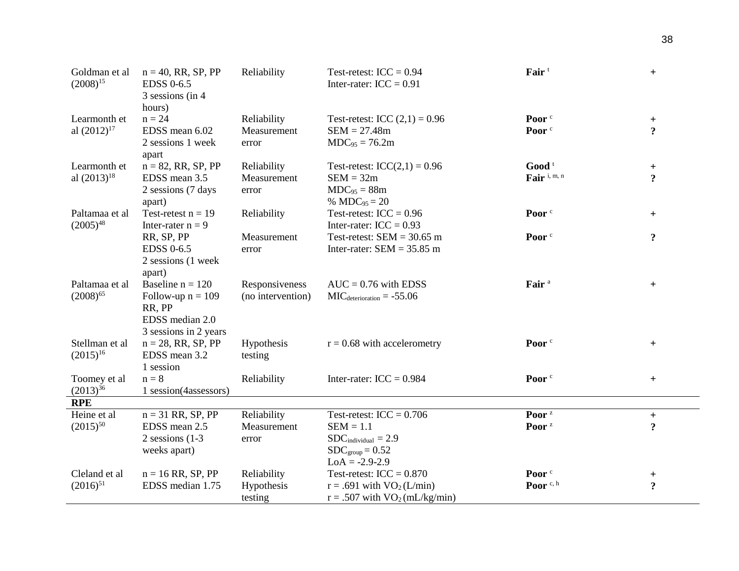| Goldman et al<br>$(2008)^{15}$  | $n = 40$ , RR, SP, PP<br><b>EDSS 0-6.5</b><br>3 sessions (in 4<br>hours) | Reliability       | Fair <sup>t</sup><br>Test-retest: $ICC = 0.94$<br>Inter-rater: $ICC = 0.91$ |                   | $+$                 |
|---------------------------------|--------------------------------------------------------------------------|-------------------|-----------------------------------------------------------------------------|-------------------|---------------------|
| Learmonth et                    | $n = 24$                                                                 | Reliability       | Test-retest: ICC $(2,1) = 0.96$                                             | Poor <sup>c</sup> | $+$                 |
| al $(2012)^{17}$                | EDSS mean 6.02                                                           | Measurement       | $SEM = 27.48m$                                                              | Poor <sup>c</sup> | $\overline{?}$      |
|                                 | 2 sessions 1 week<br>apart                                               | error             | $MDC_{95} = 76.2m$                                                          |                   |                     |
| Learmonth et                    | $n = 82$ , RR, SP, PP                                                    | Reliability       | Test-retest: $ICC(2,1) = 0.96$                                              | Good <sup>t</sup> | $+$                 |
| al $(2013)^{18}$                | EDSS mean 3.5                                                            | Measurement       | $SEM = 32m$                                                                 | Fair i, m, n      | $\ddot{ }$          |
|                                 | 2 sessions (7 days                                                       | error             | $MDC_{95} = 88m$                                                            |                   |                     |
|                                 | apart)                                                                   |                   | % MDC $_{95}$ = 20                                                          |                   |                     |
| Paltamaa et al<br>$(2005)^{48}$ | Test-retest $n = 19$<br>Inter-rater $n = 9$                              | Reliability       | Test-retest: $ICC = 0.96$<br>Inter-rater: $ICC = 0.93$                      | Poor <sup>c</sup> | $+$                 |
|                                 | RR, SP, PP                                                               | Measurement       | Test-retest: $SEM = 30.65$ m                                                | Poor <sup>c</sup> | $\ddot{\mathbf{c}}$ |
|                                 | <b>EDSS 0-6.5</b><br>2 sessions (1 week<br>apart)                        | error             | Inter-rater: $SEM = 35.85$ m                                                |                   |                     |
| Paltamaa et al                  | Baseline $n = 120$                                                       | Responsiveness    | $AUC = 0.76$ with EDSS                                                      | Fair <sup>a</sup> | $+$                 |
| $(2008)^{65}$                   | Follow-up $n = 109$<br>RR, PP<br>EDSS median 2.0                         | (no intervention) | $MICdeterioration = -55.06$                                                 |                   |                     |
|                                 | 3 sessions in 2 years                                                    |                   |                                                                             |                   |                     |
| Stellman et al                  | $n = 28$ , RR, SP, PP                                                    | Hypothesis        | $r = 0.68$ with accelerometry                                               | Poor <sup>c</sup> | $+$                 |
| $(2015)^{16}$                   | EDSS mean 3.2                                                            | testing           |                                                                             |                   |                     |
|                                 | 1 session                                                                |                   |                                                                             |                   |                     |
| Toomey et al                    | $n = 8$                                                                  | Reliability       | Inter-rater: $ICC = 0.984$                                                  | Poor <sup>c</sup> | $+$                 |
| $(2013)^{36}$                   | 1 session(4assessors)                                                    |                   |                                                                             |                   |                     |
| <b>RPE</b>                      |                                                                          |                   |                                                                             |                   |                     |
| Heine et al                     | $n = 31$ RR, SP, PP                                                      | Reliability       | Test-retest: $ICC = 0.706$                                                  | Poor <sup>z</sup> | $+$                 |
| $(2015)^{50}$                   | EDSS mean 2.5                                                            | Measurement       | $SEM = 1.1$                                                                 | Poor <sup>z</sup> | $\ddot{\mathbf{c}}$ |
|                                 | 2 sessions $(1-3)$                                                       | error             | $SDC_{individual} = 2.9$                                                    |                   |                     |
|                                 | weeks apart)                                                             |                   | $SDC_{group} = 0.52$                                                        |                   |                     |
|                                 |                                                                          |                   | $LoA = -2.9 - 2.9$                                                          |                   |                     |
| Cleland et al                   | $n = 16$ RR, SP, PP                                                      | Reliability       | Test-retest: $ICC = 0.870$                                                  | Poor <sup>c</sup> | $^{+}$              |
| $(2016)^{51}$                   | EDSS median 1.75                                                         | Hypothesis        | $r = .691$ with $VO2(L/min)$                                                | Poor $c, h$       | $\ddot{\mathbf{c}}$ |
|                                 |                                                                          | testing           | $r = .507$ with $VO2(mL/kg/min)$                                            |                   |                     |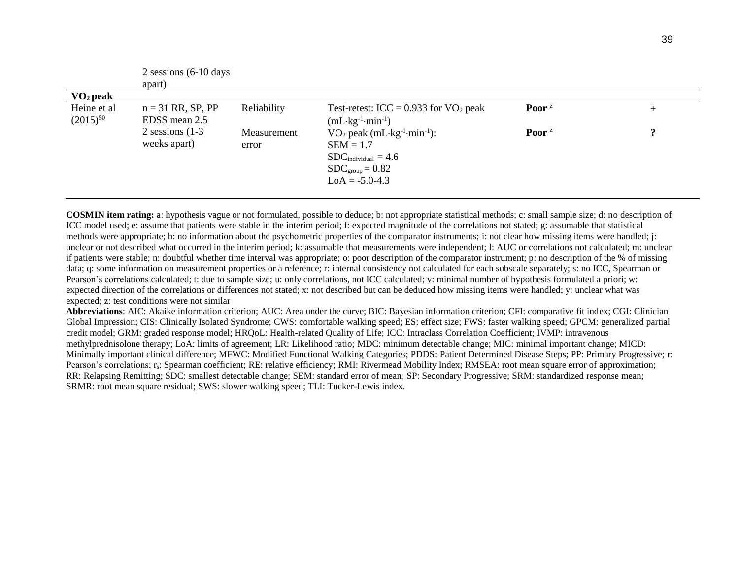|                              | 2 sessions $(6-10)$ days             |                      |                                                                                                                                                                      |                                |                     |
|------------------------------|--------------------------------------|----------------------|----------------------------------------------------------------------------------------------------------------------------------------------------------------------|--------------------------------|---------------------|
|                              | apart)                               |                      |                                                                                                                                                                      |                                |                     |
| $\mathbf{VO}_2$ peak         |                                      |                      |                                                                                                                                                                      |                                |                     |
| Heine et al<br>$(2015)^{50}$ | $n = 31$ RR, SP, PP<br>EDSS mean 2.5 | Reliability          | Test-retest: ICC = $0.933$ for VO <sub>2</sub> peak<br>$(mL \cdot kg^{-1} \cdot min^{-1})$                                                                           | Poor <sup><math>z</math></sup> | $\pm$               |
|                              | 2 sessions $(1-3)$<br>weeks apart)   | Measurement<br>error | $VO2$ peak (mL $\cdot$ kg <sup>-1</sup> $\cdot$ min <sup>-1</sup> ):<br>$SEM = 1.7$<br>$SDC_{individual} = 4.6$<br>$SDC_{\text{group}} = 0.82$<br>$LoA = -5.0 - 4.3$ | Poor <sup>z</sup>              | $\boldsymbol{\eta}$ |

**COSMIN item rating:** a: hypothesis vague or not formulated, possible to deduce; b: not appropriate statistical methods; c: small sample size; d: no description of ICC model used; e: assume that patients were stable in the interim period; f: expected magnitude of the correlations not stated; g: assumable that statistical methods were appropriate; h: no information about the psychometric properties of the comparator instruments; i: not clear how missing items were handled; j: unclear or not described what occurred in the interim period; k: assumable that measurements were independent; l: AUC or correlations not calculated; m: unclear if patients were stable; n: doubtful whether time interval was appropriate; o: poor description of the comparator instrument; p: no description of the % of missing data; q: some information on measurement properties or a reference; r: internal consistency not calculated for each subscale separately; s: no ICC, Spearman or Pearson's correlations calculated; t: due to sample size; u: only correlations, not ICC calculated; v: minimal number of hypothesis formulated a priori; w: expected direction of the correlations or differences not stated; x: not described but can be deduced how missing items were handled; y: unclear what was expected; z: test conditions were not similar

**Abbreviations**: AIC: Akaike information criterion; AUC: Area under the curve; BIC: Bayesian information criterion; CFI: comparative fit index; CGI: Clinician Global Impression; CIS: Clinically Isolated Syndrome; CWS: comfortable walking speed; ES: effect size; FWS: faster walking speed; GPCM: generalized partial credit model; GRM: graded response model; HRQoL: Health-related Quality of Life; ICC: Intraclass Correlation Coefficient; IVMP: intravenous methylprednisolone therapy; LoA: limits of agreement; LR: Likelihood ratio; MDC: minimum detectable change; MIC: minimal important change; MICD: Minimally important clinical difference; MFWC: Modified Functional Walking Categories; PDDS: Patient Determined Disease Steps; PP: Primary Progressive; r: Pearson's correlations; r<sub>s</sub>: Spearman coefficient; RE: relative efficiency; RMI: Rivermead Mobility Index; RMSEA: root mean square error of approximation; RR: Relapsing Remitting; SDC: smallest detectable change; SEM: standard error of mean; SP: Secondary Progressive; SRM: standardized response mean; SRMR: root mean square residual; SWS: slower walking speed; TLI: Tucker-Lewis index.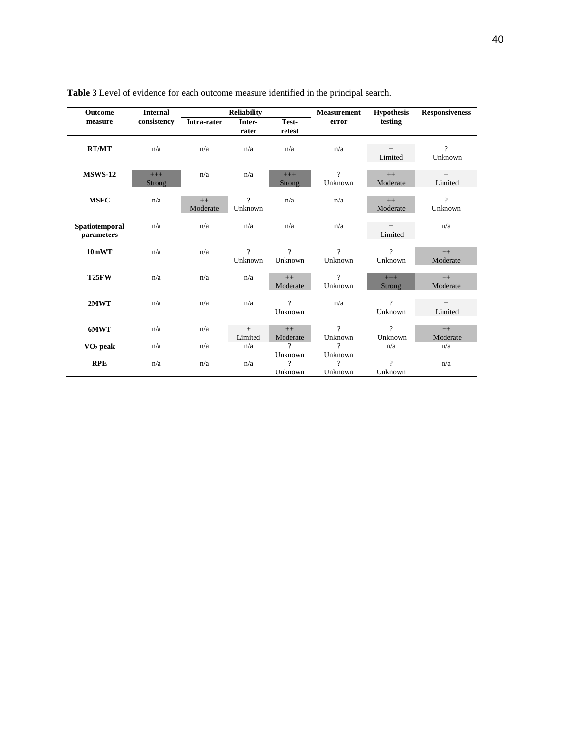| <b>Outcome</b>               | <b>Internal</b>        |                  | <b>Reliability</b>        |                           | <b>Measurement</b>      | <b>Hypothesis</b>         | <b>Responsiveness</b>     |
|------------------------------|------------------------|------------------|---------------------------|---------------------------|-------------------------|---------------------------|---------------------------|
| measure                      | consistency            | Intra-rater      | Inter-<br>rater           | Test-<br>retest           | error                   | testing                   |                           |
| <b>RT/MT</b>                 | n/a                    | n/a              | n/a                       | n/a                       | n/a                     | $+$<br>Limited            | $\overline{?}$<br>Unknown |
| <b>MSWS-12</b>               | $+++$<br><b>Strong</b> | n/a              | n/a                       | $+++$<br><b>Strong</b>    | $\gamma$<br>Unknown     | $++$<br>Moderate          | $+$<br>Limited            |
| <b>MSFC</b>                  | n/a                    | $++$<br>Moderate | $\overline{?}$<br>Unknown | n/a                       | n/a                     | $++$<br>Moderate          | $\gamma$<br>Unknown       |
| Spatiotemporal<br>parameters | n/a                    | n/a              | n/a                       | n/a                       | n/a                     | $+$<br>Limited            | n/a                       |
| 10mWT                        | n/a                    | n/a              | $\gamma$<br>Unknown       | $\gamma$<br>Unknown       | 2<br>Unknown            | $\gamma$<br>Unknown       | $++$<br>Moderate          |
| T <sub>25</sub> FW           | n/a                    | n/a              | n/a                       | $++$<br>Moderate          | $\gamma$<br>Unknown     | $+++$<br><b>Strong</b>    | $++$<br>Moderate          |
| 2MWT                         | n/a                    | n/a              | n/a                       | $\overline{?}$<br>Unknown | n/a                     | $\gamma$<br>Unknown       | $+$<br>Limited            |
| 6MWT                         | n/a                    | n/a              | $+$<br>Limited            | $++$<br>Moderate          | $\gamma$<br>Unknown     | $\overline{?}$<br>Unknown | $++$<br>Moderate          |
| $\mathbf{VO}_2$ peak         | n/a                    | n/a              | n/a                       | $\gamma$                  | ?                       | n/a                       | n/a                       |
| <b>RPE</b>                   | n/a                    | n/a              | n/a                       | Unknown<br>?<br>Unknown   | Unknown<br>9<br>Unknown | $\gamma$<br>Unknown       | n/a                       |

# **Table 3** Level of evidence for each outcome measure identified in the principal search.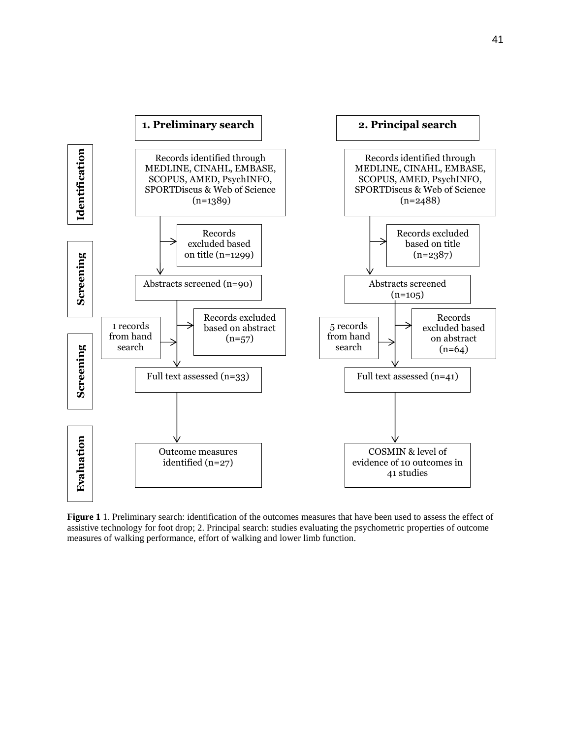

**Figure 1** 1. Preliminary search: identification of the outcomes measures that have been used to assess the effect of assistive technology for foot drop; 2. Principal search: studies evaluating the psychometric properties of outcome